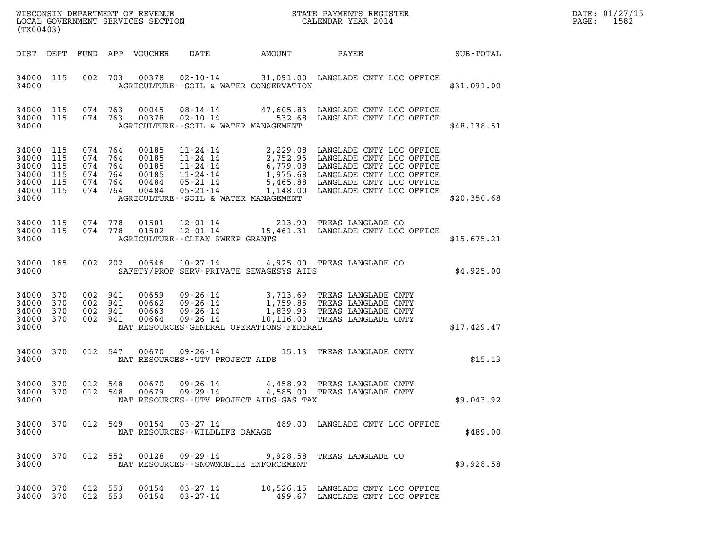| WISCONSIN DEPARTMENT OF REVENUE<br>LOCAL GOVERNMENT SERVICES SECTION<br>(TX00403) | STATE PAYMENTS REGISTER<br>CALENDAR YEAR 2014 | DATE: 01/27/15<br>1582<br>PAGE: |
|-----------------------------------------------------------------------------------|-----------------------------------------------|---------------------------------|

| (TX00403)          |                   |                    |  |                                         | WISCONSIN DEPARTMENT OF REVENUE<br>LOCAL GOVERNMENT SERVICES SECTION THE STATE PAYMENTS REGISTER<br>(TWARA 2014                                                                                                                                                                                                                                                                                   | $\mathbb{E} \mathbf{R}$ | DATE: 01/27/15<br>PAGE: 1582 |
|--------------------|-------------------|--------------------|--|-----------------------------------------|---------------------------------------------------------------------------------------------------------------------------------------------------------------------------------------------------------------------------------------------------------------------------------------------------------------------------------------------------------------------------------------------------|-------------------------|------------------------------|
|                    |                   |                    |  |                                         | DIST DEPT FUND APP VOUCHER DATE AMOUNT PAYEE PATE SUB-TOTAL                                                                                                                                                                                                                                                                                                                                       |                         |                              |
|                    |                   |                    |  |                                         | 34000 115 002 703 00378 02-10-14 31,091.00 LANGLADE CNTY LCC OFFICE<br>34000 <b>AGRICULTURE--SOIL &amp; WATER CONSERVATION</b>                                                                                                                                                                                                                                                                    | \$31,091.00             |                              |
| 34000              |                   |                    |  | AGRICULTURE -- SOIL & WATER MANAGEMENT  | 34000 115 074 763 00045 08-14-14 47,605.83 LANGLADE CNTY LCC OFFICE 34000 115 074 763 00378 02-10-14 532.68 LANGLADE CNTY LCC OFFICE                                                                                                                                                                                                                                                              | \$48,138.51             |                              |
| 34000              |                   |                    |  |                                         | 34000 115 074 764 00185 11-24-14 2,229.08 LANGLADE CNTY LCC OFFICE<br>34000 115 074 764 00185 11-24-14 2,752.96 LANGLADE CNTY LCC OFFICE<br>34000 115 074 764 00185 11-24-14 6,779.08 LANGLADE CNTY LCC OFFICE<br>34000 115 074 764<br>AGRICULTURE--SOIL & WATER MANAGEMENT                                                                                                                       | \$20,350.68             |                              |
|                    |                   |                    |  | 34000 AGRICULTURE--CLEAN SWEEP GRANTS   | 34000 115 074 778 01501 12-01-14 213.90 TREAS LANGLADE CO 34000 115 074 778 01502 12-01-14 15,461.31 LANGLADE CNTY LCC OFFICE                                                                                                                                                                                                                                                                     | \$15,675.21             |                              |
|                    |                   |                    |  |                                         | 34000 165 002 202 00546 10-27-14 4,925.00 TREAS LANGLADE CO<br>34000 SAFETY/PROF SERV-PRIVATE SEWAGESYS AIDS                                                                                                                                                                                                                                                                                      | \$4,925.00              |                              |
| 34000              |                   |                    |  |                                         | $\begin{tabular}{cccccc} 34\,000 & 370 & 002 & 941 & 00659 & 09\texttt{-}26\texttt{-}14 & 3\,,713\texttt{-}69 & \texttt{TREAS} & \texttt{LANGLADE} & \texttt{CNTY} \\ 34\,000 & 370 & 002 & 941 & 00662 & 09\texttt{-}26\texttt{-}14 & 1\,,759\texttt{-}85 & \texttt{TREAS} & \texttt{LANGLADE} & \texttt{CNTY} \\ 34\,000 & 370 & 002 & 941 & 00663$<br>NAT RESOURCES-GENERAL OPERATIONS-FEDERAL | \$17,429.47             |                              |
|                    |                   |                    |  | 34000 NAT RESOURCES--UTV PROJECT AIDS   | 34000 370 012 547 00670 09-26-14 15.13 TREAS LANGLADE CNTY                                                                                                                                                                                                                                                                                                                                        | \$15.13                 |                              |
| 34000 370<br>34000 | 34000 370         | 012 548<br>012 548 |  | NAT RESOURCES--UTV PROJECT AIDS-GAS TAX |                                                                                                                                                                                                                                                                                                                                                                                                   | \$9,043.92              |                              |
| 34000              |                   |                    |  | NAT RESOURCES--WILDLIFE DAMAGE          | 34000 370 012 549 00154 03-27-14 489.00 LANGLADE CNTY LCC OFFICE                                                                                                                                                                                                                                                                                                                                  | \$489.00                |                              |
| 34000              |                   |                    |  | NAT RESOURCES--SNOWMOBILE ENFORCEMENT   | 34000 370 012 552 00128 09-29-14 9,928.58 TREAS LANGLADE CO                                                                                                                                                                                                                                                                                                                                       | \$9,928.58              |                              |
| 34000 370          | 34000 370 012 553 | 012 553            |  |                                         | 00154  03-27-14   10,526.15   LANGLADE CNTY LCC OFFICE<br>00154  03-27-14   499.67   LANGLADE CNTY LCC OFFICE                                                                                                                                                                                                                                                                                     |                         |                              |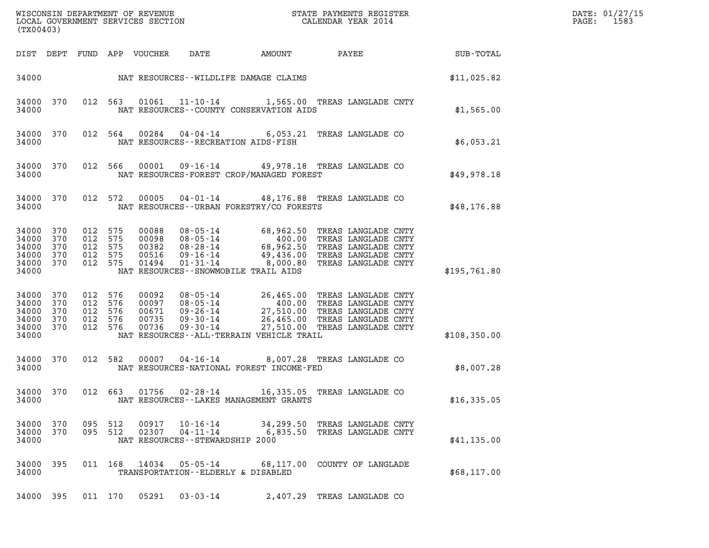| (TX00403)                                              |                          |                                                     |     |                            |                                                                  |        |                                                                                                                                                                                                                              |              | DATE: 01/27/15<br>1583<br>PAGE: |
|--------------------------------------------------------|--------------------------|-----------------------------------------------------|-----|----------------------------|------------------------------------------------------------------|--------|------------------------------------------------------------------------------------------------------------------------------------------------------------------------------------------------------------------------------|--------------|---------------------------------|
|                                                        |                          |                                                     |     | DIST DEPT FUND APP VOUCHER | DATE                                                             | AMOUNT | PAYEE                                                                                                                                                                                                                        | SUB-TOTAL    |                                 |
| 34000                                                  |                          |                                                     |     |                            | NAT RESOURCES--WILDLIFE DAMAGE CLAIMS                            |        |                                                                                                                                                                                                                              | \$11,025.82  |                                 |
| 34000 370<br>34000                                     |                          | 012 563                                             |     |                            | NAT RESOURCES - COUNTY CONSERVATION AIDS                         |        | 01061  11-10-14  1,565.00 TREAS LANGLADE CNTY                                                                                                                                                                                | \$1,565.00   |                                 |
| 34000 370<br>34000                                     |                          | 012 564                                             |     | 00284                      | NAT RESOURCES - - RECREATION AIDS - FISH                         |        | 04-04-14 6,053.21 TREAS LANGLADE CO                                                                                                                                                                                          | \$6,053.21   |                                 |
| 34000 370<br>34000                                     |                          | 012 566                                             |     | 00001                      | NAT RESOURCES-FOREST CROP/MANAGED FOREST                         |        | 09-16-14 49,978.18 TREAS LANGLADE CO                                                                                                                                                                                         | \$49,978.18  |                                 |
| 34000 370<br>34000                                     |                          | 012 572                                             |     | 00005                      | NAT RESOURCES--URBAN FORESTRY/CO FORESTS                         |        | 04-01-14 48,176.88 TREAS LANGLADE CO                                                                                                                                                                                         | \$48,176.88  |                                 |
| 34000<br>34000<br>34000<br>34000<br>34000 370<br>34000 | 370<br>370<br>370<br>370 | 012 575<br>012 575<br>012 575<br>012 575<br>012 575 |     | 00516<br>01494             | NAT RESOURCES - - SNOWMOBILE TRAIL AIDS                          |        | 00088 08-05-14 68,962.50 TREAS LANGLADE CNTY<br>00098 08-05-14 400.00 TREAS LANGLADE CNTY<br>00382 08-28-14 68,962.50 TREAS LANGLADE CNTY<br>09-16-14 49,436.00 TREAS LANGLADE CNTY<br>01-31-14 8,000.80 TREAS LANGLADE CNTY | \$195,761.80 |                                 |
| 34000<br>34000<br>34000<br>34000<br>34000 370<br>34000 | 370<br>370<br>370<br>370 | 012 576<br>012 576<br>012 576<br>012<br>012 576     | 576 | 00736                      | $09 - 30 - 14$<br>NAT RESOURCES - - ALL-TERRAIN VEHICLE TRAIL    |        | 00092 08-05-14 26,465.00 TREAS LANGLADE CNTY<br>00097 08-05-14 400.00 TREAS LANGLADE CNTY<br>00671 09-26-14 27,510.00 TREAS LANGLADE CNTY<br>00735 09-30-14 26,465.00 TREAS LANGLADE CNTY<br>27,510.00 TREAS LANGLADE CNTY   | \$108,350.00 |                                 |
| 34000<br>34000                                         | 370                      | 012 582                                             |     | 00007                      | NAT RESOURCES-NATIONAL FOREST INCOME-FED                         |        | 04-16-14 8,007.28 TREAS LANGLADE CO                                                                                                                                                                                          | \$8,007.28   |                                 |
| 34000 370<br>34000                                     |                          | 012 663                                             |     |                            | NAT RESOURCES--LAKES MANAGEMENT GRANTS                           |        | 01756  02-28-14   16,335.05   TREAS LANGLADE CO                                                                                                                                                                              | \$16,335.05  |                                 |
| 34000 370<br>34000 370<br>34000                        |                          | 095 512<br>095 512                                  |     | 00917<br>02307             | $10 - 16 - 14$<br>04-11-14<br>NAT RESOURCES - - STEWARDSHIP 2000 |        | 34,299.50 TREAS LANGLADE CNTY<br>6,835.50 TREAS LANGLADE CNTY                                                                                                                                                                | \$41,135.00  |                                 |
| 34000 395<br>34000                                     |                          |                                                     |     |                            | TRANSPORTATION--ELDERLY & DISABLED                               |        | 011  168  14034  05-05-14  68,117.00  COUNTY OF LANGLADE                                                                                                                                                                     | \$68,117.00  |                                 |
| 34000 395                                              |                          | 011 170                                             |     |                            |                                                                  |        | 2,407.29 TREAS LANGLADE CO                                                                                                                                                                                                   |              |                                 |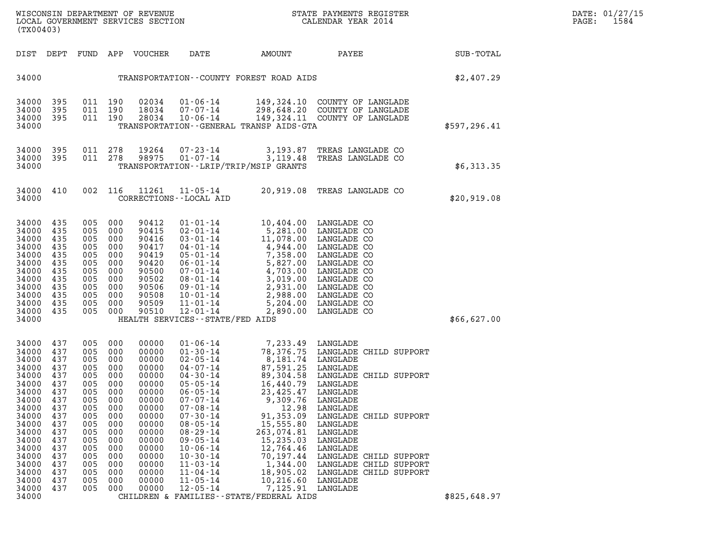| WISCONSIN DEPARTMENT OF REVENUE<br>LOCAL GOVERNMENT SERVICES SECTION<br>(TX00403) | STATE PAYMENTS REGISTER<br>CALENDAR YEAR 2014 | DATE: 01/27/15<br>1584<br>PAGE: |
|-----------------------------------------------------------------------------------|-----------------------------------------------|---------------------------------|

| FUND                                                                                                                              | APP                                                                                                                               | VOUCHER                                                                                                                                                                 | DATE                                                                                                                                                                                                                                                                                                                                               | AMOUNT                                                                                                                                                                                                 | PAYEE                                                                                                                                                                                                                                                                                                    | SUB-TOTAL                                                                                                                                                                                                                                                                                                                                                                                                                |
|-----------------------------------------------------------------------------------------------------------------------------------|-----------------------------------------------------------------------------------------------------------------------------------|-------------------------------------------------------------------------------------------------------------------------------------------------------------------------|----------------------------------------------------------------------------------------------------------------------------------------------------------------------------------------------------------------------------------------------------------------------------------------------------------------------------------------------------|--------------------------------------------------------------------------------------------------------------------------------------------------------------------------------------------------------|----------------------------------------------------------------------------------------------------------------------------------------------------------------------------------------------------------------------------------------------------------------------------------------------------------|--------------------------------------------------------------------------------------------------------------------------------------------------------------------------------------------------------------------------------------------------------------------------------------------------------------------------------------------------------------------------------------------------------------------------|
|                                                                                                                                   |                                                                                                                                   |                                                                                                                                                                         |                                                                                                                                                                                                                                                                                                                                                    |                                                                                                                                                                                                        |                                                                                                                                                                                                                                                                                                          | \$2,407.29                                                                                                                                                                                                                                                                                                                                                                                                               |
| 011<br>011<br>011                                                                                                                 | 190<br>190<br>190                                                                                                                 | 02034<br>18034<br>28034                                                                                                                                                 | $01 - 06 - 14$<br>$07 - 07 - 14$<br>$10 - 06 - 14$                                                                                                                                                                                                                                                                                                 | 298,648.20                                                                                                                                                                                             | COUNTY OF LANGLADE<br>COUNTY OF LANGLADE                                                                                                                                                                                                                                                                 | \$597,296.41                                                                                                                                                                                                                                                                                                                                                                                                             |
| 011<br>011                                                                                                                        | 278<br>278                                                                                                                        | 19264<br>98975                                                                                                                                                          | $07 - 23 - 14$<br>$01 - 07 - 14$                                                                                                                                                                                                                                                                                                                   | 3,193.87<br>3,119.48                                                                                                                                                                                   | TREAS LANGLADE CO<br>TREAS LANGLADE CO                                                                                                                                                                                                                                                                   | \$6,313.35                                                                                                                                                                                                                                                                                                                                                                                                               |
| 002                                                                                                                               | 116                                                                                                                               | 11261                                                                                                                                                                   | $11 - 05 - 14$                                                                                                                                                                                                                                                                                                                                     | 20,919.08                                                                                                                                                                                              | TREAS LANGLADE CO                                                                                                                                                                                                                                                                                        | \$20,919.08                                                                                                                                                                                                                                                                                                                                                                                                              |
| 005<br>005<br>005<br>005<br>005<br>005<br>005<br>005<br>005<br>005<br>005<br>005                                                  | 000<br>000<br>000<br>000<br>000<br>000<br>000<br>000<br>000<br>000<br>000<br>000                                                  | 90412<br>90415<br>90416<br>90417<br>90419<br>90420<br>90500<br>90502<br>90506<br>90508<br>90509<br>90510                                                                | $01 - 01 - 14$<br>$02 - 01 - 14$<br>$03 - 01 - 14$<br>$04 - 01 - 14$<br>$05 - 01 - 14$<br>$06 - 01 - 14$<br>$07 - 01 - 14$<br>$08 - 01 - 14$<br>$09 - 01 - 14$<br>$10 - 01 - 14$<br>$11 - 01 - 14$<br>$12 - 01 - 14$                                                                                                                               | 5,204.00<br>2,890.00                                                                                                                                                                                   | LANGLADE CO<br>LANGLADE CO<br>LANGLADE CO<br>LANGLADE CO<br>LANGLADE CO<br>LANGLADE CO<br>LANGLADE CO                                                                                                                                                                                                    | \$66,627.00                                                                                                                                                                                                                                                                                                                                                                                                              |
| 005<br>005<br>005<br>005<br>005<br>005<br>005<br>005<br>005<br>005<br>005<br>005<br>005<br>005<br>005<br>005<br>005<br>005<br>005 | 000<br>000<br>000<br>000<br>000<br>000<br>000<br>000<br>000<br>000<br>000<br>000<br>000<br>000<br>000<br>000<br>000<br>000<br>000 | 00000<br>00000<br>00000<br>00000<br>00000<br>00000<br>00000<br>00000<br>00000<br>00000<br>00000<br>00000<br>00000<br>00000<br>00000<br>00000<br>00000<br>00000<br>00000 | $01 - 06 - 14$<br>$01 - 30 - 14$<br>$02 - 05 - 14$<br>$04 - 07 - 14$<br>$04 - 30 - 14$<br>$05 - 05 - 14$<br>$06 - 05 - 14$<br>$07 - 07 - 14$<br>$07 - 08 - 14$<br>$07 - 30 - 14$<br>$08 - 05 - 14$<br>$08 - 29 - 14$<br>$09 - 05 - 14$<br>$10 - 06 - 14$<br>$10 - 30 - 14$<br>$11 - 03 - 14$<br>$11 - 04 - 14$<br>$11 - 05 - 14$<br>$12 - 05 - 14$ | 87,591.25<br>89,304.58<br>16,440.79<br>23,425.47<br>9,309.76<br>12.98<br>91,353.09<br>15,555.80<br>263,074.81<br>15,235.03<br>12,764.46<br>70,197.44<br>1,344.00<br>18,905.02<br>10,216.60<br>7,125.91 | LANGLADE<br>LANGLADE CHILD SUPPORT<br>LANGLADE<br>LANGLADE CHILD SUPPORT<br>LANGLADE<br>LANGLADE<br>LANGLADE<br>LANGLADE<br>LANGLADE CHILD SUPPORT<br>LANGLADE<br>LANGLADE<br>LANGLADE<br>LANGLADE<br>LANGLADE CHILD SUPPORT<br>LANGLADE CHILD SUPPORT<br>LANGLADE CHILD SUPPORT<br>LANGLADE<br>LANGLADE | \$825,648.97                                                                                                                                                                                                                                                                                                                                                                                                             |
|                                                                                                                                   |                                                                                                                                   |                                                                                                                                                                         |                                                                                                                                                                                                                                                                                                                                                    |                                                                                                                                                                                                        | TRANSPORTATION - - LRIP/TRIP/MSIP GRANTS<br>CORRECTIONS - - LOCAL AID<br>HEALTH SERVICES - - STATE/FED AIDS                                                                                                                                                                                              | TRANSPORTATION--COUNTY FOREST ROAD AIDS<br>149,324.10<br>149,324.11 COUNTY OF LANGLADE<br>TRANSPORTATION - - GENERAL TRANSP AIDS - GTA<br>10,404.00 LANGLADE CO<br>5,281.00 LANGLADE CO<br>11,078.00 LANGLADE CO<br>4,944.00<br>7,358.00<br>5,827.00 LANGLADE CO<br>4,703.00<br>3,019.00<br>2,931.00<br>2,988.00 LANGLADE CO<br>7,233.49<br>78,376.75<br>8,181.74 LANGLADE<br>CHILDREN & FAMILIES - - STATE/FEDERAL AIDS |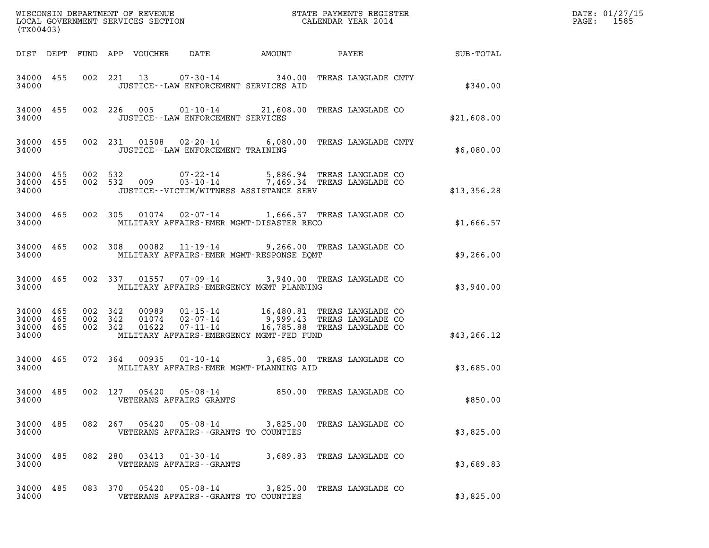| (TX00403)                                    |         |                    |                        |                                                                                                                                                                                               |  |                          |              | DATE: 01/27/15<br>PAGE: 1585 |
|----------------------------------------------|---------|--------------------|------------------------|-----------------------------------------------------------------------------------------------------------------------------------------------------------------------------------------------|--|--------------------------|--------------|------------------------------|
|                                              |         |                    |                        |                                                                                                                                                                                               |  |                          |              |                              |
| 34000                                        |         |                    |                        | 34000 455 002 221 13 07-30-14 340.00 TREAS LANGLADE CNTY<br>JUSTICE -- LAW ENFORCEMENT SERVICES AID                                                                                           |  |                          | \$340.00     |                              |
| 34000                                        |         |                    |                        | 34000 455 002 226 005 01-10-14 21,608.00 TREAS LANGLADE CO<br>JUSTICE - - LAW ENFORCEMENT SERVICES                                                                                            |  |                          | \$21,608.00  |                              |
| 34000                                        |         |                    |                        | 34000 455 002 231 01508 02-20-14 6,080.00 TREAS LANGLADE CNTY<br>JUSTICE - - LAW ENFORCEMENT TRAINING                                                                                         |  |                          | \$6,080.00   |                              |
| 34000                                        |         |                    |                        | $34000$ $455$ $002$ $532$ $009$ $03-10-14$ $7,469.34$ TREAS LANGLADE CO<br>34000 $455$ 002 532 009 03-10-14 7,469.34 TREAS LANGLADE CO<br>JUSTICE -- VICTIM/WITNESS ASSISTANCE SERV           |  |                          | \$13,356.28  |                              |
| 34000                                        |         |                    |                        | 34000 465 002 305 01074 02-07-14 1,666.57 TREAS LANGLADE CO<br>MILITARY AFFAIRS-EMER MGMT-DISASTER RECO                                                                                       |  |                          | \$1,666.57   |                              |
| 34000                                        |         |                    |                        | 34000 465 002 308 00082 11-19-14 9,266.00 TREAS LANGLADE CO<br>MILITARY AFFAIRS-EMER MGMT-RESPONSE EOMT                                                                                       |  |                          | \$9,266.00   |                              |
| 34000                                        |         |                    |                        | 34000 465 002 337 01557 07-09-14 3,940.00 TREAS LANGLADE CO<br>MILITARY AFFAIRS-EMERGENCY MGMT PLANNING                                                                                       |  |                          | \$3,940.00   |                              |
| 34000 465<br>34000 465<br>34000 465<br>34000 | 002 342 | 002 342<br>002 342 |                        | 00989   01-15-14   16,480.81 TREAS LANGLADE CO<br>01074   02-07-14   9,999.43 TREAS LANGLADE CO<br>01622   07-11-14   16,785.88 TREAS LANGLADE CO<br>MILITARY AFFAIRS-EMERGENCY MGMT-FED FUND |  |                          | \$43, 266.12 |                              |
| 34000                                        |         |                    |                        | 34000 465 072 364 00935 01-10-14 3,685.00 TREAS LANGLADE CO<br>MILITARY AFFAIRS-EMER MGMT-PLANNING AID                                                                                        |  |                          | \$3,685.00   |                              |
| 34000 485<br>34000                           |         |                    | 002 127 05420 05-08-14 | VETERANS AFFAIRS GRANTS                                                                                                                                                                       |  | 850.00 TREAS LANGLADE CO | \$850.00     |                              |
| 34000 485<br>34000                           |         |                    |                        | 082  267  05420  05-08-14  3,825.00 TREAS LANGLADE CO<br>VETERANS AFFAIRS -- GRANTS TO COUNTIES                                                                                               |  |                          | \$3,825.00   |                              |
| 34000 485<br>34000                           |         |                    |                        | 082 280 03413 01-30-14 3,689.83 TREAS LANGLADE CO<br>VETERANS AFFAIRS - - GRANTS                                                                                                              |  |                          | \$3,689.83   |                              |
| 34000 485<br>34000                           |         |                    |                        | 083 370 05420 05-08-14 3,825.00 TREAS LANGLADE CO<br>VETERANS AFFAIRS -- GRANTS TO COUNTIES                                                                                                   |  |                          | \$3,825.00   |                              |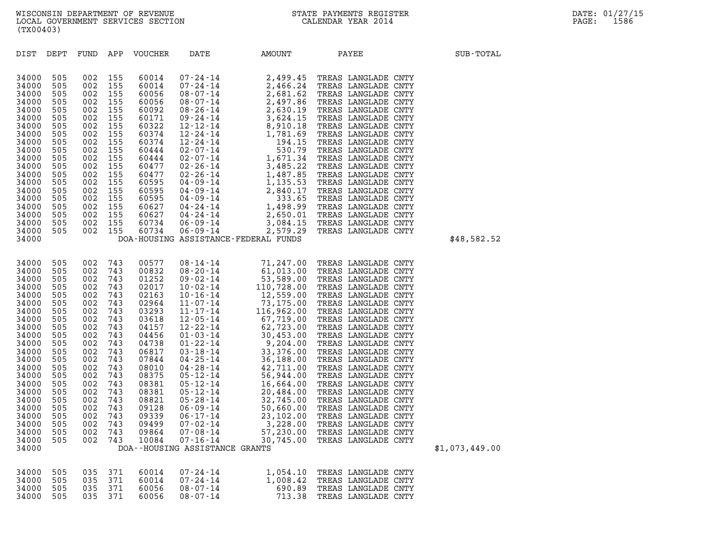| 34000                            |                          |                                      |     |                                  | DOA--HOUSING ASSISTANCE GRANTS                                 |                                          |                                                                                          |  |
|----------------------------------|--------------------------|--------------------------------------|-----|----------------------------------|----------------------------------------------------------------|------------------------------------------|------------------------------------------------------------------------------------------|--|
| 34000<br>34000<br>34000<br>34000 | 505<br>505<br>505<br>505 | 035 371<br>035 371<br>035<br>035 371 | 371 | 60014<br>60014<br>60056<br>60056 | $07 - 24 - 14$<br>$07 - 24 - 14$<br>$08 - 07 - 14$<br>08-07-14 | 1,054.10<br>1,008.42<br>690.89<br>713.38 | TREAS LANGLADE CNTY<br>TREAS LANGLADE CNTY<br>TREAS LANGLADE CNTY<br>TREAS LANGLADE CNTY |  |

| 34000 |     |     |     |       |                                | DOA-HOUSING ASSISTANCE-FEDERAL FUNDS |                     | \$48,582.52    |
|-------|-----|-----|-----|-------|--------------------------------|--------------------------------------|---------------------|----------------|
| 34000 | 505 | 002 | 743 | 00577 | 08-14-14                       | 71,247.00                            | TREAS LANGLADE CNTY |                |
| 34000 | 505 | 002 | 743 | 00832 |                                | $08 - 20 - 14$ 61,013.00             | TREAS LANGLADE CNTY |                |
| 34000 | 505 | 002 | 743 | 01252 |                                | $09 - 02 - 14$ 53,589.00             | TREAS LANGLADE CNTY |                |
| 34000 | 505 | 002 | 743 | 02017 |                                | 10-02-14 110,728.00                  | TREAS LANGLADE CNTY |                |
| 34000 | 505 | 002 | 743 | 02163 |                                | 10-16-14 12,559.00                   | TREAS LANGLADE CNTY |                |
| 34000 | 505 | 002 | 743 | 02964 |                                | $11 - 07 - 14$ 73, 175.00            | TREAS LANGLADE CNTY |                |
| 34000 | 505 | 002 | 743 | 03293 | $11 - 17 - 14$                 | 116,962.00                           | TREAS LANGLADE CNTY |                |
| 34000 | 505 | 002 | 743 | 03618 |                                | $12 - 05 - 14$ 67,719.00             | TREAS LANGLADE CNTY |                |
| 34000 | 505 | 002 | 743 | 04157 |                                | 12-22-14 62,723.00                   | TREAS LANGLADE CNTY |                |
| 34000 | 505 | 002 | 743 | 04456 |                                | $01 - 03 - 14$ 30,453.00             | TREAS LANGLADE CNTY |                |
| 34000 | 505 | 002 | 743 | 04738 |                                | $01 - 22 - 14$ 9,204.00              | TREAS LANGLADE CNTY |                |
| 34000 | 505 | 002 | 743 | 06817 | $03 - 18 - 14$                 | 33,376.00                            | TREAS LANGLADE CNTY |                |
| 34000 | 505 | 002 | 743 | 07844 |                                | $04 - 25 - 14$ 36,188.00             | TREAS LANGLADE CNTY |                |
| 34000 | 505 | 002 | 743 | 08010 |                                | $04 - 28 - 14$ $42,711.00$           | TREAS LANGLADE CNTY |                |
| 34000 | 505 | 002 | 743 | 08375 | 05-12-14                       | 56,944.00                            | TREAS LANGLADE CNTY |                |
| 34000 | 505 | 002 | 743 | 08381 |                                | $05 - 12 - 14$ 16,664.00             | TREAS LANGLADE CNTY |                |
| 34000 | 505 | 002 | 743 | 08381 |                                | $05 - 12 - 14$ 20,484.00             | TREAS LANGLADE CNTY |                |
| 34000 | 505 | 002 | 743 | 08821 |                                | $05 - 28 - 14$ 32,745.00             | TREAS LANGLADE CNTY |                |
| 34000 | 505 | 002 | 743 | 09128 |                                | $06 - 09 - 14$ 50,660.00             | TREAS LANGLADE CNTY |                |
| 34000 | 505 | 002 | 743 | 09339 |                                | $06 - 17 - 14$ 23,102.00             | TREAS LANGLADE CNTY |                |
| 34000 | 505 | 002 | 743 | 09499 |                                | $07 - 02 - 14$ 3, 228.00             | TREAS LANGLADE CNTY |                |
| 34000 | 505 | 002 | 743 | 09864 |                                | $07 - 08 - 14$ 57,230.00             | TREAS LANGLADE CNTY |                |
| 34000 | 505 | 002 | 743 | 10084 | 07-16-14                       | 30,745.00                            | TREAS LANGLADE CNTY |                |
| 34000 |     |     |     |       | DOA--HOUSING ASSISTANCE GRANTS |                                      |                     | \$1,073,449.00 |
|       |     |     |     |       |                                |                                      |                     |                |

| <b>VOUCHER</b><br>DIST<br>DEPT<br>FUND<br>APP<br>AMOUNT<br>PAYEE<br>DATE                                                                                                                                                                                                                                                                                                                                                                                                                                                                                                                                                                                                                                                                                                                                                                                                                                                                                                                                                                                                                                                                                                                                                                                                                                                                                                                                                                                                                                                                                                                                                                                                                                                                                                                                                                                               | (TX00403) |  |  |  |  |             |
|------------------------------------------------------------------------------------------------------------------------------------------------------------------------------------------------------------------------------------------------------------------------------------------------------------------------------------------------------------------------------------------------------------------------------------------------------------------------------------------------------------------------------------------------------------------------------------------------------------------------------------------------------------------------------------------------------------------------------------------------------------------------------------------------------------------------------------------------------------------------------------------------------------------------------------------------------------------------------------------------------------------------------------------------------------------------------------------------------------------------------------------------------------------------------------------------------------------------------------------------------------------------------------------------------------------------------------------------------------------------------------------------------------------------------------------------------------------------------------------------------------------------------------------------------------------------------------------------------------------------------------------------------------------------------------------------------------------------------------------------------------------------------------------------------------------------------------------------------------------------|-----------|--|--|--|--|-------------|
|                                                                                                                                                                                                                                                                                                                                                                                                                                                                                                                                                                                                                                                                                                                                                                                                                                                                                                                                                                                                                                                                                                                                                                                                                                                                                                                                                                                                                                                                                                                                                                                                                                                                                                                                                                                                                                                                        |           |  |  |  |  | SUB-TOTAL   |
| 34000<br>505<br>002<br>155<br>60014<br>07-24-14<br>2,499.45<br>TREAS LANGLADE CNTY<br>155<br>34000<br>505<br>002<br>60014<br>07-24-14<br>2,466.24<br>TREAS LANGLADE CNTY<br>34000<br>505<br>002<br>155<br>2,681.62<br>60056<br>$08 - 07 - 14$<br>TREAS LANGLADE CNTY<br>2,497.86<br>34000<br>505<br>002<br>155<br>60056<br>08-07-14<br>TREAS LANGLADE CNTY<br>155<br>34000<br>505<br>002<br>60092<br>08-26-14<br>2,630.19<br>TREAS LANGLADE CNTY<br>34000<br>505<br>155<br>60171<br>3,624.15<br>002<br>09-24-14<br>TREAS LANGLADE CNTY<br>34000<br>505<br>002<br>155<br>60322<br>12-12-14<br>8,910.18<br>TREAS LANGLADE CNTY<br>34000<br>505<br>002<br>155<br>60374<br>$12 - 24 - 14$<br>1,781.69<br>TREAS LANGLADE CNTY<br>155<br>34000<br>505<br>002<br>60374<br>12-24-14<br>194.15<br>TREAS LANGLADE CNTY<br>34000<br>505<br>155<br>60444<br>02-07-14<br>530.79<br>002<br>TREAS LANGLADE CNTY<br>155<br>60444<br>1,671.34<br>34000<br>505<br>002<br>$02 - 07 - 14$<br>TREAS LANGLADE CNTY<br>34000<br>155<br>505<br>002<br>60477<br>02-26-14<br>3,485.22<br>TREAS LANGLADE CNTY<br>34000<br>155<br>$02 - 26 - 14$<br>505<br>002<br>60477<br>1,487.85<br>TREAS LANGLADE CNTY<br>34000<br>505<br>002<br>155<br>60595<br>04-09-14<br>1,135.53<br>TREAS LANGLADE<br>CNTY<br>34000<br>505<br>155<br>60595<br>002<br>04-09-14<br>2,840.17<br>TREAS LANGLADE CNTY<br>34000<br>505<br>002<br>155<br>60595<br>04-09-14<br>333.65<br>TREAS LANGLADE<br>CNTY<br>34000<br>155<br>1,498.99<br>505<br>002<br>60627<br>04-24-14<br>TREAS LANGLADE<br>CNTY<br>34000<br>505<br>155<br>60627<br>04-24-14<br>2,650.01<br>002<br>TREAS LANGLADE CNTY<br>34000<br>505<br>155<br>60734<br>3,084.15<br>002<br>06-09-14<br>TREAS LANGLADE CNTY<br>34000<br>002<br>155<br>60734<br>$06 - 09 - 14$<br>505<br>2,579.29<br>TREAS LANGLADE CNTY<br>34000<br>DOA-HOUSING ASSISTANCE-FEDERAL FUNDS |           |  |  |  |  | \$48,582.52 |

WISCONSIN DEPARTMENT OF REVENUE<br>LOCAL GOVERNMENT SERVICES SECTION STATE PAYMENTS REGISTER SECONDER STATE PASSES OF LOCAL SERVICES SECTION WISCONSIN DEPARTMENT OF REVENUE<br>LOCAL GOVERNMENT SERVICES SECTION CALENDAR YEAR 2014<br>(TX00403) (TX00403)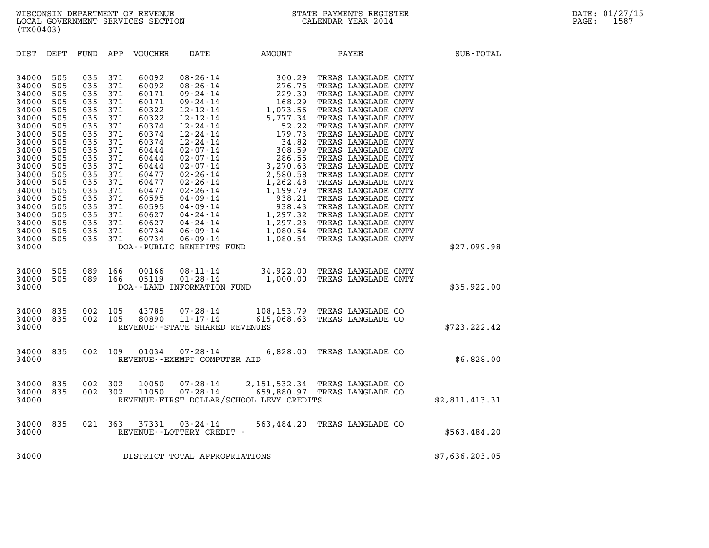| (TX00403)                                                                                                                                                                                          |                                                                                                                                                 |                                                                                                                                                 |                                                                                                                                                 |                                                                                                                                                                                           |                                                                       |                                                                                   |                                                               |                |
|----------------------------------------------------------------------------------------------------------------------------------------------------------------------------------------------------|-------------------------------------------------------------------------------------------------------------------------------------------------|-------------------------------------------------------------------------------------------------------------------------------------------------|-------------------------------------------------------------------------------------------------------------------------------------------------|-------------------------------------------------------------------------------------------------------------------------------------------------------------------------------------------|-----------------------------------------------------------------------|-----------------------------------------------------------------------------------|---------------------------------------------------------------|----------------|
| DIST                                                                                                                                                                                               | DEPT                                                                                                                                            | FUND                                                                                                                                            | APP                                                                                                                                             | VOUCHER                                                                                                                                                                                   | DATE                                                                  | AMOUNT                                                                            | PAYEE                                                         | SUB-TOTAL      |
| 34000<br>34000<br>34000<br>34000<br>34000<br>34000<br>34000<br>34000<br>34000<br>34000<br>34000<br>34000<br>34000<br>34000<br>34000<br>34000<br>34000<br>34000<br>34000<br>34000<br>34000<br>34000 | 505<br>505<br>505<br>505<br>505<br>505<br>505<br>505<br>505<br>505<br>505<br>505<br>505<br>505<br>505<br>505<br>505<br>505<br>505<br>505<br>505 | 035<br>035<br>035<br>035<br>035<br>035<br>035<br>035<br>035<br>035<br>035<br>035<br>035<br>035<br>035<br>035<br>035<br>035<br>035<br>035<br>035 | 371<br>371<br>371<br>371<br>371<br>371<br>371<br>371<br>371<br>371<br>371<br>371<br>371<br>371<br>371<br>371<br>371<br>371<br>371<br>371<br>371 | 60092<br>60092<br>60171<br>60171<br>60322<br>60322<br>60374<br>60374<br>60374<br>60444<br>60444<br>60444<br>60477<br>60477<br>60477<br>60595<br>60595<br>60627<br>60627<br>60734<br>60734 | DOA--PUBLIC BENEFITS FUND                                             |                                                                                   |                                                               | \$27,099.98    |
| 34000<br>34000<br>34000                                                                                                                                                                            | 505<br>505                                                                                                                                      | 089<br>089                                                                                                                                      | 166<br>166                                                                                                                                      | 00166<br>05119                                                                                                                                                                            | $08 - 11 - 14$<br>$01 - 28 - 14$<br>DOA--LAND INFORMATION FUND        |                                                                                   | 34,922.00 TREAS LANGLADE CNTY<br>1,000.00 TREAS LANGLADE CNTY | \$35,922.00    |
| 34000<br>34000<br>34000                                                                                                                                                                            | 835<br>835                                                                                                                                      | 002<br>002                                                                                                                                      | 105<br>105                                                                                                                                      | 43785<br>80890                                                                                                                                                                            | $07 - 28 - 14$<br>$11 - 17 - 14$<br>REVENUE - - STATE SHARED REVENUES |                                                                                   | 108,153.79 TREAS LANGLADE CO<br>615,068.63 TREAS LANGLADE CO  | \$723, 222.42  |
| 34000<br>34000                                                                                                                                                                                     | 835                                                                                                                                             | 002                                                                                                                                             | 109                                                                                                                                             | 01034                                                                                                                                                                                     | $07 - 28 - 14$<br>REVENUE--EXEMPT COMPUTER AID                        |                                                                                   | 6,828.00 TREAS LANGLADE CO                                    | \$6,828.00     |
| 34000<br>34000<br>34000                                                                                                                                                                            | 835<br>835                                                                                                                                      | 002<br>002                                                                                                                                      | 302<br>302                                                                                                                                      | 10050<br>11050                                                                                                                                                                            | 07-28-14                                                              | 07-28-14 659,880.97 TREAS LANGLADE CO<br>REVENUE-FIRST DOLLAR/SCHOOL LEVY CREDITS | 2,151,532.34 TREAS LANGLADE CO                                | \$2,811,413.31 |
| 34000<br>34000                                                                                                                                                                                     | 835                                                                                                                                             | 021                                                                                                                                             | 363                                                                                                                                             | 37331                                                                                                                                                                                     | $03 - 24 - 14$<br>REVENUE - - LOTTERY CREDIT -                        |                                                                                   | 563,484.20 TREAS LANGLADE CO                                  | \$563,484.20   |
| 34000                                                                                                                                                                                              |                                                                                                                                                 |                                                                                                                                                 |                                                                                                                                                 |                                                                                                                                                                                           | DISTRICT TOTAL APPROPRIATIONS                                         |                                                                                   |                                                               | \$7,636,203.05 |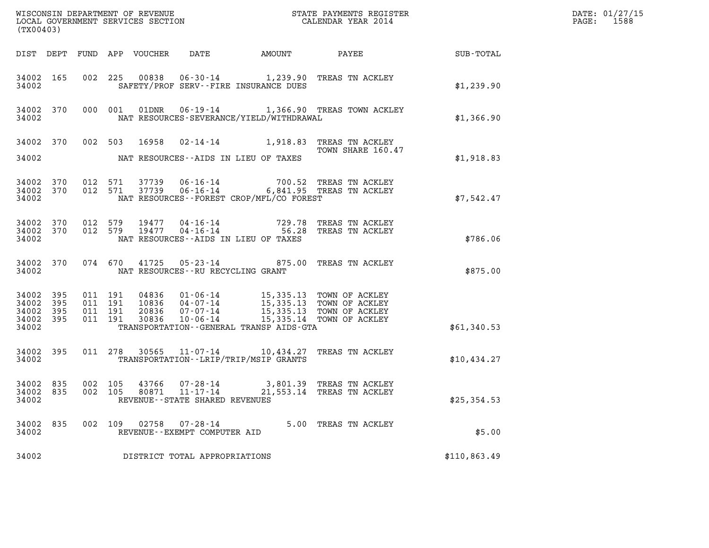| (TX00403)                                             |     |                               |         |                            |                                                           |                                          |                                                                                                                                                                    |              | DATE: 01/27/15<br>$\mathtt{PAGE:}$<br>1588 |
|-------------------------------------------------------|-----|-------------------------------|---------|----------------------------|-----------------------------------------------------------|------------------------------------------|--------------------------------------------------------------------------------------------------------------------------------------------------------------------|--------------|--------------------------------------------|
|                                                       |     |                               |         | DIST DEPT FUND APP VOUCHER | DATE                                                      |                                          |                                                                                                                                                                    |              |                                            |
| 34002 165<br>34002                                    |     |                               |         |                            |                                                           | SAFETY/PROF SERV--FIRE INSURANCE DUES    | 002 225 00838 06-30-14 1,239.90 TREAS TN ACKLEY                                                                                                                    | \$1,239.90   |                                            |
| 34002 370<br>34002                                    |     |                               | 000 001 |                            |                                                           | NAT RESOURCES-SEVERANCE/YIELD/WITHDRAWAL | 01DNR  06-19-14   1,366.90 TREAS TOWN ACKLEY                                                                                                                       | \$1,366.90   |                                            |
| 34002                                                 |     |                               |         | 34002 370 002 503 16958    |                                                           | NAT RESOURCES--AIDS IN LIEU OF TAXES     | 02-14-14 1,918.83 TREAS TN ACKLEY<br>TOWN SHARE 160.47                                                                                                             | \$1,918.83   |                                            |
| 34002 370<br>34002 370<br>34002                       |     | 012 571<br>012 571            |         |                            |                                                           | NAT RESOURCES--FOREST CROP/MFL/CO FOREST | 37739  06-16-14  700.52  TREAS TN ACKLEY<br>37739  06-16-14  6,841.95  TREAS TN ACKLEY                                                                             | \$7,542.47   |                                            |
| 34002 370<br>34002 370<br>34002                       |     |                               |         |                            |                                                           | NAT RESOURCES -- AIDS IN LIEU OF TAXES   | 012 579 19477 04-16-14 729.78 TREAS TN ACKLEY<br>012 579 19477 04-16-14 56.28 TREAS TN ACKLEY                                                                      | \$786.06     |                                            |
| 34002 370<br>34002                                    |     |                               |         |                            | NAT RESOURCES - - RU RECYCLING GRANT                      |                                          | 074 670 41725 05-23-14 875.00 TREAS TN ACKLEY                                                                                                                      | \$875.00     |                                            |
| 34002 395<br>34002 395<br>34002<br>34002 395<br>34002 | 395 | 011 191<br>011 191<br>011 191 | 011 191 | 30836                      | $10 - 06 - 14$                                            | TRANSPORTATION--GENERAL TRANSP AIDS-GTA  | 04836  01-06-14  15,335.13  TOWN OF ACKLEY<br>10836  04-07-14  15,335.13  TOWN OF ACKLEY<br>20836  07-07-14  15,335.13  TOWN OF ACKLEY<br>15,335.14 TOWN OF ACKLEY | \$61,340.53  |                                            |
| 34002 395<br>34002                                    |     |                               |         |                            |                                                           | TRANSPORTATION - - LRIP/TRIP/MSIP GRANTS | 011 278 30565 11-07-14 10,434.27 TREAS TN ACKLEY                                                                                                                   | \$10,434.27  |                                            |
| 34002 835<br>34002                                    |     | 002 105                       |         |                            | 80871 11-17-14<br>REVENUE--STATE SHARED REVENUES          |                                          | 34002 835 002 105 43766 07-28-14 3,801.39 TREAS TN ACKLEY<br>21,553.14 TREAS TN ACKLEY                                                                             | \$25,354.53  |                                            |
| 34002 835<br>34002                                    |     |                               |         |                            | 002 109 02758 07-28-14<br>REVENUE - - EXEMPT COMPUTER AID |                                          | 5.00 TREAS TN ACKLEY                                                                                                                                               | \$5.00       |                                            |
| 34002                                                 |     |                               |         |                            | DISTRICT TOTAL APPROPRIATIONS                             |                                          |                                                                                                                                                                    | \$110,863.49 |                                            |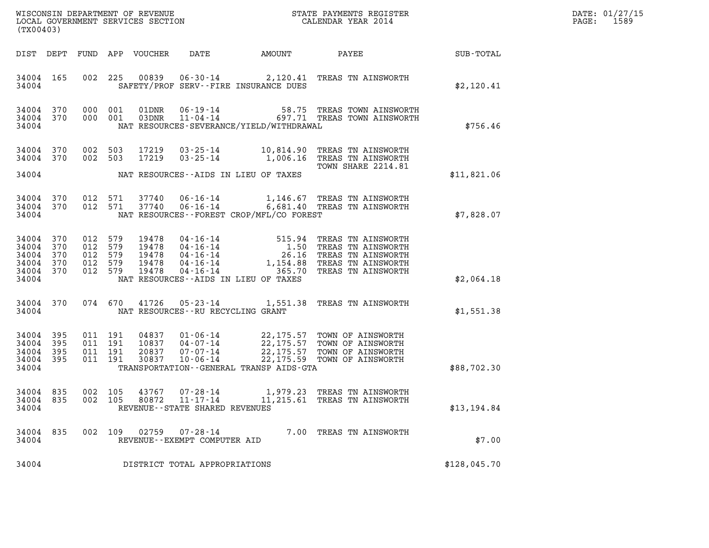| DATE: | 01/27/15 |
|-------|----------|
| PAGE: | 1589     |

| LOCAL GOVERNMENT SERVICES SECTION<br>(TX00403)             |                   |                                                     |                    |                                           |                                                                 |                                              |                                                                                                                                                                         |              | DATE: 01/27/15<br>1589<br>$\mathtt{PAGE}$ : |
|------------------------------------------------------------|-------------------|-----------------------------------------------------|--------------------|-------------------------------------------|-----------------------------------------------------------------|----------------------------------------------|-------------------------------------------------------------------------------------------------------------------------------------------------------------------------|--------------|---------------------------------------------|
|                                                            |                   |                                                     |                    | DIST DEPT FUND APP VOUCHER                | DATE                                                            | AMOUNT                                       | PAYEE                                                                                                                                                                   | SUB-TOTAL    |                                             |
| 34004 165<br>34004                                         |                   |                                                     | 002 225            | 00839                                     |                                                                 | SAFETY/PROF SERV--FIRE INSURANCE DUES        | 06-30-14 2,120.41 TREAS TN AINSWORTH                                                                                                                                    | \$2,120.41   |                                             |
| 34004 370<br>34004 370<br>34004                            |                   | 000 001<br>000 001                                  |                    | 01DNR<br>03DNR                            |                                                                 | NAT RESOURCES-SEVERANCE/YIELD/WITHDRAWAL     | 06-19-14 58.75 TREAS TOWN AINSWORTH<br>11-04-14 697.71 TREAS TOWN AINSWORTH                                                                                             | \$756.46     |                                             |
| 34004 370<br>34004 370                                     |                   | 002 503<br>002 503                                  |                    | 17219<br>17219                            | $03 - 25 - 14$<br>$03 - 25 - 14$                                |                                              | 10,814.90 TREAS TN AINSWORTH<br>1,006.16 TREAS TN AINSWORTH<br>TOWN SHARE 2214.81                                                                                       |              |                                             |
| 34004                                                      |                   |                                                     |                    |                                           |                                                                 | NAT RESOURCES--AIDS IN LIEU OF TAXES         |                                                                                                                                                                         | \$11,821.06  |                                             |
| 34004 370<br>34004 370<br>34004                            |                   |                                                     | 012 571<br>012 571 | 37740<br>37740                            | $06 - 16 - 14$                                                  | NAT RESOURCES--FOREST CROP/MFL/CO FOREST     | 06-16-14 1,146.67 TREAS TN AINSWORTH<br>6,681.40 TREAS TN AINSWORTH                                                                                                     | \$7,828.07   |                                             |
| 34004 370<br>34004<br>34004<br>34004<br>34004 370<br>34004 | 370<br>370<br>370 | 012 579<br>012 579<br>012 579<br>012 579<br>012 579 |                    | 19478<br>19478<br>19478<br>19478<br>19478 | $04 - 16 - 14$<br>04-16-14                                      | NAT RESOURCES -- AIDS IN LIEU OF TAXES       | 04-16-14 515.94 TREAS TN AINSWORTH<br>04-16-14 1.50 TREAS TN AINSWORTH<br>04-16-14 26.16 TREAS TN AINSWORTH<br>1,154.88 TREAS TN AINSWORTH<br>365.70 TREAS TN AINSWORTH | \$2,064.18   |                                             |
| 34004 370<br>34004                                         |                   |                                                     | 074 670            | 41726                                     | 05-23-14<br>NAT RESOURCES - - RU RECYCLING GRANT                |                                              | 1,551.38 TREAS TN AINSWORTH                                                                                                                                             | \$1,551.38   |                                             |
| 34004 395<br>34004<br>34004<br>34004 395<br>34004          | 395<br>395        | 011 191<br>011 191<br>011 191<br>011 191            |                    | 04837<br>10837<br>20837<br>30837          | $01 - 06 - 14$<br>04-07-14<br>$07 - 07 - 14$<br>$10 - 06 - 14$  | TRANSPORTATION - - GENERAL TRANSP AIDS - GTA | 22,175.57 TOWN OF AINSWORTH<br>22,175.57 TOWN OF AINSWORTH<br>22, 175.57 TOWN OF AINSWORTH<br>22,175.59 TOWN OF AINSWORTH                                               | \$88,702.30  |                                             |
| 34004 835<br>34004 835<br>34004                            |                   | 002 105<br>002 105                                  |                    | 43767<br>80872                            | $07 - 28 - 14$<br>11-17-14<br>REVENUE - - STATE SHARED REVENUES |                                              | 1,979.23 TREAS TN AINSWORTH<br>11,215.61 TREAS TN AINSWORTH                                                                                                             | \$13,194.84  |                                             |
| 34004 835<br>34004                                         |                   |                                                     |                    | 002 109 02759                             | 07-28-14<br>REVENUE--EXEMPT COMPUTER AID                        |                                              | 7.00 TREAS TN AINSWORTH                                                                                                                                                 | \$7.00       |                                             |
| 34004                                                      |                   |                                                     |                    |                                           | DISTRICT TOTAL APPROPRIATIONS                                   |                                              |                                                                                                                                                                         | \$128,045.70 |                                             |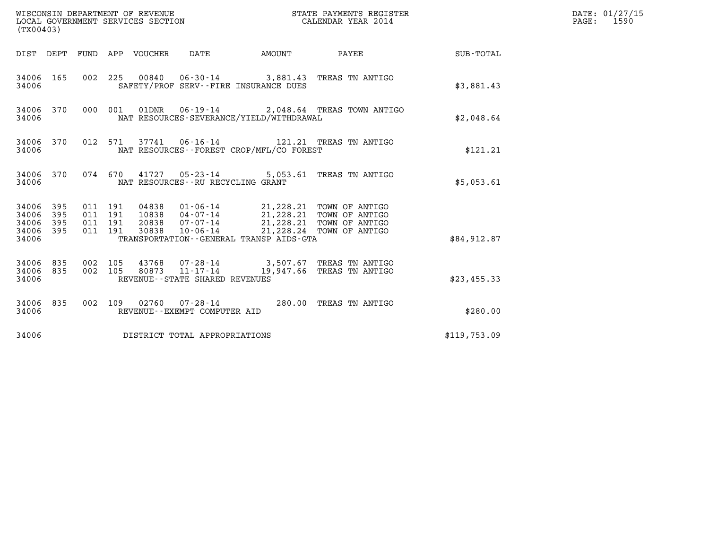| (TX00403)                                     |                   |                                          |         |                                  | WISCONSIN DEPARTMENT OF REVENUE<br>LOCAL GOVERNMENT SERVICES SECTION |                                          | STATE PAYMENTS REGISTER<br>CALENDAR YEAR 2014                                                                                  |              | DATE: 01/27/15<br>$\mathtt{PAGE:}$<br>1590 |
|-----------------------------------------------|-------------------|------------------------------------------|---------|----------------------------------|----------------------------------------------------------------------|------------------------------------------|--------------------------------------------------------------------------------------------------------------------------------|--------------|--------------------------------------------|
|                                               |                   |                                          |         | DIST DEPT FUND APP VOUCHER DATE  |                                                                      | <b>AMOUNT</b>                            | PAYEE                                                                                                                          | SUB-TOTAL    |                                            |
| 34006 165<br>34006                            |                   |                                          |         |                                  |                                                                      | SAFETY/PROF SERV--FIRE INSURANCE DUES    | 002 225 00840 06-30-14 3,881.43 TREAS TN ANTIGO                                                                                | \$3,881.43   |                                            |
| 34006 370<br>34006                            |                   |                                          | 000 001 |                                  |                                                                      | NAT RESOURCES-SEVERANCE/YIELD/WITHDRAWAL | 01DNR  06-19-14  2,048.64 TREAS TOWN ANTIGO                                                                                    | \$2.048.64   |                                            |
| 34006 370<br>34006                            |                   |                                          | 012 571 |                                  |                                                                      | NAT RESOURCES--FOREST CROP/MFL/CO FOREST |                                                                                                                                | \$121.21     |                                            |
| 34006 370<br>34006                            |                   |                                          |         |                                  | NAT RESOURCES - - RU RECYCLING GRANT                                 |                                          | 074 670 41727 05-23-14 5,053.61 TREAS TN ANTIGO                                                                                | \$5,053.61   |                                            |
| 34006 395<br>34006<br>34006<br>34006<br>34006 | 395<br>395<br>395 | 011 191<br>011 191<br>011 191<br>011 191 |         | 04838<br>10838<br>20838<br>30838 | 07-07-14<br>$10 - 06 - 14$                                           | TRANSPORTATION--GENERAL TRANSP AIDS-GTA  | 01-06-14 21,228.21 TOWN OF ANTIGO<br>04-07-14 21,228.21 TOWN OF ANTIGO<br>21,228.21 TOWN OF ANTIGO<br>21,228.24 TOWN OF ANTIGO | \$84,912.87  |                                            |
| 34006 835<br>34006<br>34006                   | 835               | 002 105<br>002 105                       |         | 80873                            | $11 - 17 - 14$<br>REVENUE - - STATE SHARED REVENUES                  |                                          | 43768  07-28-14  3,507.67  TREAS TN ANTIGO<br>19,947.66 TREAS TN ANTIGO                                                        | \$23,455.33  |                                            |
| 34006 835<br>34006                            |                   |                                          |         |                                  | 002 109 02760 07-28-14<br>REVENUE - - EXEMPT COMPUTER AID            |                                          | 280.00 TREAS TN ANTIGO                                                                                                         | \$280.00     |                                            |
| 34006                                         |                   |                                          |         |                                  | DISTRICT TOTAL APPROPRIATIONS                                        |                                          |                                                                                                                                | \$119,753.09 |                                            |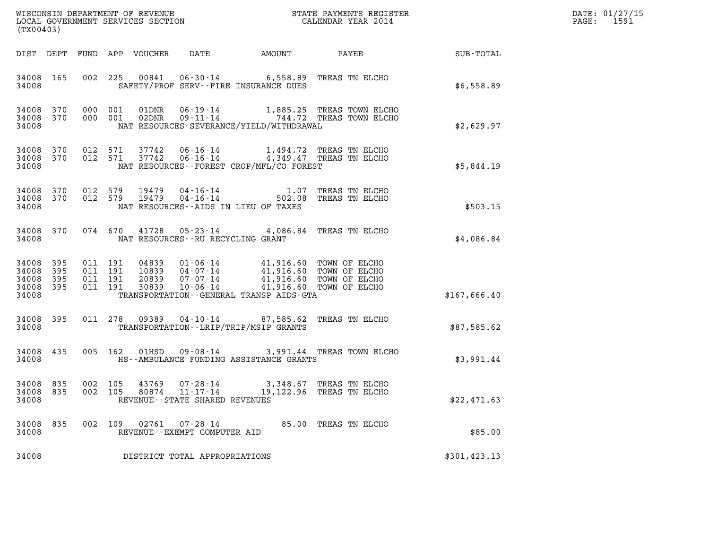| (TX00403)                                 |                          |                                          | WISCONSIN DEPARTMENT OF REVENUE<br>LOCAL GOVERNMENT SERVICES SECTION<br>LOCAL GOVERNMENT SERVICES SECTION |                                                    |                                                                                                                                              | STATE PAYMENTS REGISTER<br>CALENDAR YEAR 2014                                            |               | DATE: 01/27/15<br>PAGE:<br>1591 |
|-------------------------------------------|--------------------------|------------------------------------------|-----------------------------------------------------------------------------------------------------------|----------------------------------------------------|----------------------------------------------------------------------------------------------------------------------------------------------|------------------------------------------------------------------------------------------|---------------|---------------------------------|
| DIST DEPT                                 |                          |                                          | FUND APP VOUCHER                                                                                          | DATE                                               |                                                                                                                                              | AMOUNT PAYEE                                                                             | SUB-TOTAL     |                                 |
| 34008 165<br>34008                        |                          |                                          | 002 225                                                                                                   |                                                    | 00841  06-30-14  6,558.89  TREAS TN ELCHO<br>SAFETY/PROF SERV--FIRE INSURANCE DUES                                                           |                                                                                          | \$6,558.89    |                                 |
| 34008<br>34008<br>34008                   | 370<br>370               | 000 001<br>000 001                       |                                                                                                           |                                                    | NAT RESOURCES-SEVERANCE/YIELD/WITHDRAWAL                                                                                                     | 01DNR  06-19-14   1,885.25 TREAS TOWN ELCHO<br>02DNR  09-11-14   744.72 TREAS TOWN ELCHO | \$2,629.97    |                                 |
| 34008<br>34008<br>34008                   | 370<br>370               | 012 571<br>012 571                       | 37742<br>37742                                                                                            |                                                    | 06-16-14 1,494.72 TREAS TN ELCHO<br>06-16-14 4,349.47 TREAS TN ELCHO<br>NAT RESOURCES--FOREST CROP/MFL/CO FOREST                             |                                                                                          | \$5,844.19    |                                 |
| 34008 370<br>34008<br>34008               | 370                      | 012 579<br>012 579                       | 19479<br>19479                                                                                            | 04-16-14<br>$04 - 16 - 14$                         | NAT RESOURCES--AIDS IN LIEU OF TAXES                                                                                                         | 1.07 TREAS TN ELCHO<br>502.08 TREAS TN ELCHO                                             | \$503.15      |                                 |
| 34008 370<br>34008                        |                          |                                          | 074 670<br>41728                                                                                          | NAT RESOURCES--RU RECYCLING GRANT                  | 05-23-14 4,086.84 TREAS TN ELCHO                                                                                                             |                                                                                          | \$4,086.84    |                                 |
| 34008<br>34008<br>34008<br>34008<br>34008 | 395<br>395<br>395<br>395 | 011 191<br>011 191<br>011 191<br>011 191 | 04839<br>10839<br>20839<br>30839                                                                          | 07-07-14<br>10-06-14                               | 01-06-14  41,916.60 TOWN OF ELCHO<br>04-07-14  41,916.60 TOWN OF ELCHO<br>41,916.60 TOWN OF ELCHO<br>TRANSPORTATION--GENERAL TRANSP AIDS-GTA | 41,916.60 TOWN OF ELCHO                                                                  | \$167,666.40  |                                 |
| 34008 395<br>34008                        |                          |                                          | 011 278 09389                                                                                             |                                                    | 04-10-14 87,585.62 TREAS TN ELCHO<br>TRANSPORTATION - - LRIP/TRIP/MSIP GRANTS                                                                |                                                                                          | \$87,585.62   |                                 |
| 34008 435<br>34008                        |                          |                                          | 005 162<br>01HSD                                                                                          |                                                    | HS--AMBULANCE FUNDING ASSISTANCE GRANTS                                                                                                      | 09-08-14 3,991.44 TREAS TOWN ELCHO                                                       | \$3,991.44    |                                 |
| 34008 835<br>34008 835<br>34008           |                          | 002 105                                  | 002 105<br>43769                                                                                          | 80874 11-17-14<br>REVENUE--STATE SHARED REVENUES   | 07-28-14 3,348.67 TREAS TN ELCHO                                                                                                             | 19,122.96 TREAS TN ELCHO                                                                 | \$22,471.63   |                                 |
| 34008 835<br>34008                        |                          |                                          | 002 109                                                                                                   | 02761  07-28-14<br>REVENUE - - EXEMPT COMPUTER AID |                                                                                                                                              | 85.00 TREAS TN ELCHO                                                                     | \$85.00       |                                 |
| 34008                                     |                          |                                          |                                                                                                           | DISTRICT TOTAL APPROPRIATIONS                      |                                                                                                                                              |                                                                                          | \$301, 423.13 |                                 |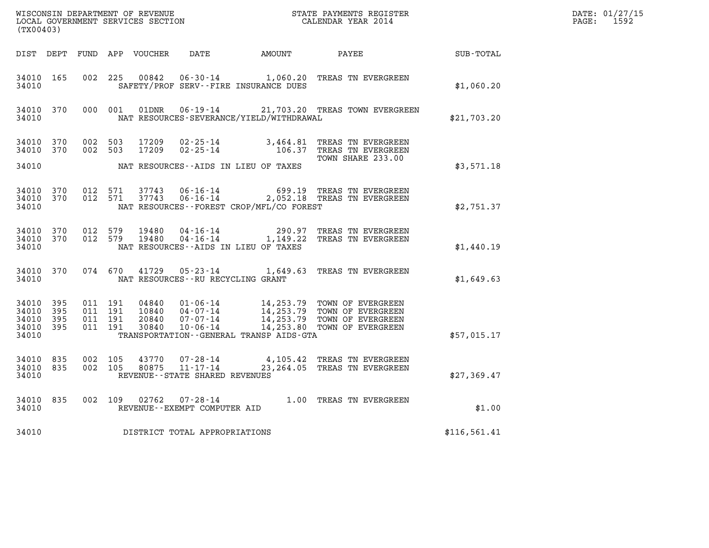| (TX00403)                                     |                   |                    |                    |                |                                   | ${\tt WISCOONSIM} \begin{tabular}{lcccc} DEPARTMENT OF REVENUE & & & & & & & \begin{tabular}{l} \bf STATE} & \bf PAYMENTS \textit{ REGISTER} \\ \hline \textit{LOCAL GOVERNMENT} & \textit{SEKVICES} & \textit{SECTION} \end{tabular} & & & & & & \begin{tabular}{l} \bf CALENDAR \textit{ YEAR} \end{tabular} \end{tabular}$ |                                                                                                                                                                                                  |              | DATE: 01/27/15<br>PAGE: 1592 |
|-----------------------------------------------|-------------------|--------------------|--------------------|----------------|-----------------------------------|-------------------------------------------------------------------------------------------------------------------------------------------------------------------------------------------------------------------------------------------------------------------------------------------------------------------------------|--------------------------------------------------------------------------------------------------------------------------------------------------------------------------------------------------|--------------|------------------------------|
|                                               |                   |                    |                    |                |                                   |                                                                                                                                                                                                                                                                                                                               | DIST DEPT FUND APP VOUCHER DATE AMOUNT PAYEE                                                                                                                                                     | SUB-TOTAL    |                              |
| 34010 165<br>34010                            |                   |                    |                    |                |                                   | SAFETY/PROF SERV--FIRE INSURANCE DUES                                                                                                                                                                                                                                                                                         | 002 225 00842 06-30-14 1,060.20 TREAS TN EVERGREEN                                                                                                                                               | \$1,060.20   |                              |
| 34010                                         | 34010 370         |                    | 000 001            |                |                                   | NAT RESOURCES-SEVERANCE/YIELD/WITHDRAWAL                                                                                                                                                                                                                                                                                      | 01DNR  06-19-14  21,703.20 TREAS TOWN EVERGREEN                                                                                                                                                  | \$21,703.20  |                              |
| 34010 370<br>34010 370                        |                   | 002 503            | 002 503            | 17209<br>17209 |                                   |                                                                                                                                                                                                                                                                                                                               | 02-25-14 3,464.81 TREAS TN EVERGREEN<br>02-25-14 106.37 TREAS TN EVERGREEN                                                                                                                       |              |                              |
| 34010                                         |                   |                    |                    |                |                                   | NAT RESOURCES--AIDS IN LIEU OF TAXES                                                                                                                                                                                                                                                                                          | TOWN SHARE 233.00                                                                                                                                                                                | \$3,571.18   |                              |
| 34010 370<br>34010                            | 34010 370         |                    | 012 571<br>012 571 |                |                                   | NAT RESOURCES--FOREST CROP/MFL/CO FOREST                                                                                                                                                                                                                                                                                      | 37743  06-16-14  699.19  TREAS TN EVERGREEN<br>37743  06-16-14  2,052.18  TREAS TN EVERGREEN                                                                                                     | \$2.751.37   |                              |
| 34010 370<br>34010                            | 34010 370         |                    | 012 579<br>012 579 | 19480<br>19480 |                                   | NAT RESOURCES--AIDS IN LIEU OF TAXES                                                                                                                                                                                                                                                                                          | 04-16-14 290.97 TREAS TN EVERGREEN<br>04-16-14 1,149.22 TREAS TN EVERGREEN                                                                                                                       | \$1,440.19   |                              |
| 34010                                         | 34010 370         |                    |                    |                | NAT RESOURCES--RU RECYCLING GRANT |                                                                                                                                                                                                                                                                                                                               | 074 670 41729 05-23-14 1,649.63 TREAS TN EVERGREEN                                                                                                                                               | \$1,649.63   |                              |
| 34010 395<br>34010<br>34010<br>34010<br>34010 | 395<br>395<br>395 | 011 191<br>011 191 | 011 191<br>011 191 |                |                                   | TRANSPORTATION - - GENERAL TRANSP AIDS - GTA                                                                                                                                                                                                                                                                                  | 04840  01-06-14  14,253.79  TOWN OF EVERGREEN<br>10840  04-07-14  14,253.79  TOWN OF EVERGREEN<br>20840  07-07-14  14,253.79  TOWN OF EVERGREEN<br>30840  10-06-14  14,253.80  TOWN OF EVERGREEN | \$57,015.17  |                              |
| 34010 835<br>34010 835<br>34010               |                   | 002 105<br>002 105 |                    | 43770<br>80875 | REVENUE--STATE SHARED REVENUES    |                                                                                                                                                                                                                                                                                                                               | 07-28-14 4,105.42 TREAS TN EVERGREEN<br>11-17-14 23,264.05 TREAS TN EVERGREEN                                                                                                                    | \$27,369.47  |                              |
| 34010                                         | 34010 835         |                    |                    |                | REVENUE--EXEMPT COMPUTER AID      |                                                                                                                                                                                                                                                                                                                               | 002 109 02762 07-28-14 1.00 TREAS TN EVERGREEN                                                                                                                                                   | \$1.00       |                              |
| 34010                                         |                   |                    |                    |                | DISTRICT TOTAL APPROPRIATIONS     |                                                                                                                                                                                                                                                                                                                               |                                                                                                                                                                                                  | \$116,561.41 |                              |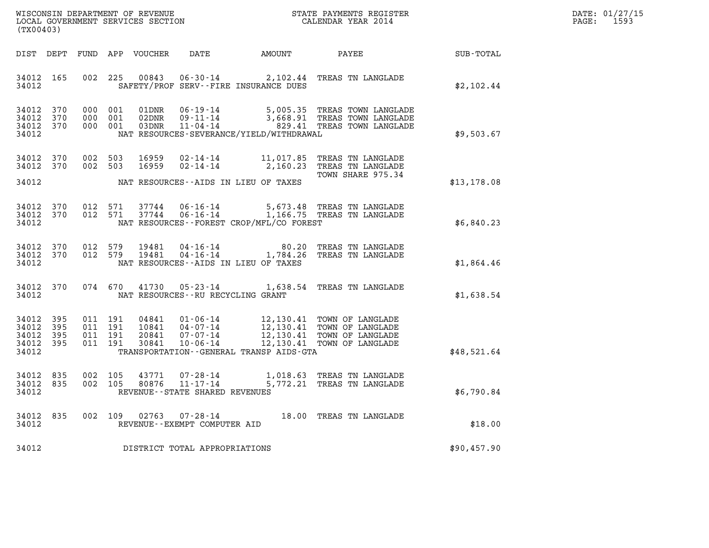| WISCONSIN DEPARTMENT OF REVENUE   | STATE PAYMENTS REGISTER | DATE: 01/27/15 |
|-----------------------------------|-------------------------|----------------|
| LOCAL GOVERNMENT SERVICES SECTION | CALENDAR YEAR 2014      | 1593<br>PAGE:  |

|                                           | WISCONSIN DEPARTMENT OF REVENUE<br>STATE PAYMENTS REGISTER<br>LOCAL GOVERNMENT SERVICES SECTION<br>CALENDAR YEAR 2014<br>(TX00403) |                          |                          |                                  |                                                                                                                 |                                                  |                                                                              |             |
|-------------------------------------------|------------------------------------------------------------------------------------------------------------------------------------|--------------------------|--------------------------|----------------------------------|-----------------------------------------------------------------------------------------------------------------|--------------------------------------------------|------------------------------------------------------------------------------|-------------|
| DIST                                      | DEPT                                                                                                                               | FUND                     | APP                      | VOUCHER                          | DATE                                                                                                            | AMOUNT                                           | PAYEE                                                                        | SUB-TOTAL   |
| 34012<br>34012                            | 165                                                                                                                                | 002                      | 225                      | 00843                            | $06 - 30 - 14$<br>SAFETY/PROF SERV--FIRE INSURANCE DUES                                                         | 2,102.44                                         | TREAS TN LANGLADE                                                            | \$2,102.44  |
| 34012<br>34012<br>34012<br>34012          | 370<br>370<br>370                                                                                                                  | 000<br>000<br>000        | 001<br>001<br>001        | 01DNR<br>02DNR<br>03DNR          | $06 - 19 - 14$<br>$09 - 11 - 14$<br>$11 - 04 - 14$<br>NAT RESOURCES-SEVERANCE/YIELD/WITHDRAWAL                  | 5,005.35<br>3,668.91<br>829.41                   | TREAS TOWN LANGLADE<br>TREAS TOWN LANGLADE<br>TREAS TOWN LANGLADE            | \$9,503.67  |
| 34012<br>34012                            | 370<br>370                                                                                                                         | 002<br>002               | 503<br>503               | 16959<br>16959                   | $02 - 14 - 14$<br>$02 - 14 - 14$                                                                                | 11,017.85<br>2,160.23                            | TREAS TN LANGLADE<br>TREAS TN LANGLADE                                       |             |
| 34012                                     |                                                                                                                                    |                          |                          |                                  | NAT RESOURCES - AIDS IN LIEU OF TAXES                                                                           |                                                  | TOWN SHARE 975.34                                                            | \$13,178.08 |
| 34012<br>34012<br>34012                   | 370<br>370                                                                                                                         | 012<br>012               | 571<br>571               | 37744<br>37744                   | $06 - 16 - 14$<br>$06 - 16 - 14$<br>NAT RESOURCES--FOREST CROP/MFL/CO FOREST                                    |                                                  | 5,673.48 TREAS TN LANGLADE<br>1,166.75 TREAS TN LANGLADE                     | \$6,840.23  |
| 34012<br>34012<br>34012                   | 370<br>370                                                                                                                         | 012<br>012               | 579<br>579               | 19481<br>19481                   | $04 - 16 - 14$<br>$04 - 16 - 14$<br>NAT RESOURCES -- AIDS IN LIEU OF TAXES                                      | 80.20<br>1,784.26                                | TREAS TN LANGLADE<br>TREAS TN LANGLADE                                       | \$1,864.46  |
| 34012<br>34012                            | 370                                                                                                                                | 074                      | 670                      | 41730                            | $05 - 23 - 14$<br>NAT RESOURCES - - RU RECYCLING GRANT                                                          | 1,638.54                                         | TREAS TN LANGLADE                                                            | \$1,638.54  |
| 34012<br>34012<br>34012<br>34012<br>34012 | 395<br>395<br>395<br>395                                                                                                           | 011<br>011<br>011<br>011 | 191<br>191<br>191<br>191 | 04841<br>10841<br>20841<br>30841 | $01 - 06 - 14$<br>$04 - 07 - 14$<br>$07 - 07 - 14$<br>$10 - 06 - 14$<br>TRANSPORTATION--GENERAL TRANSP AIDS-GTA | 12,130.41<br>12,130.41<br>12,130.41<br>12,130.41 | TOWN OF LANGLADE<br>TOWN OF LANGLADE<br>TOWN OF LANGLADE<br>TOWN OF LANGLADE | \$48,521.64 |
| 34012<br>34012<br>34012                   | 835<br>835                                                                                                                         | 002<br>002               | 105<br>105               | 43771<br>80876                   | $07 - 28 - 14$<br>$11 - 17 - 14$<br>REVENUE - - STATE SHARED REVENUES                                           | 1,018.63<br>5,772.21                             | TREAS TN LANGLADE<br>TREAS TN LANGLADE                                       | \$6,790.84  |
| 34012<br>34012                            | 835                                                                                                                                | 002                      | 109                      | 02763                            | $07 - 28 - 14$<br>REVENUE - - EXEMPT COMPUTER AID                                                               | 18.00                                            | TREAS TN LANGLADE                                                            | \$18.00     |
| 34012                                     |                                                                                                                                    |                          |                          |                                  | DISTRICT TOTAL APPROPRIATIONS                                                                                   |                                                  |                                                                              | \$90,457.90 |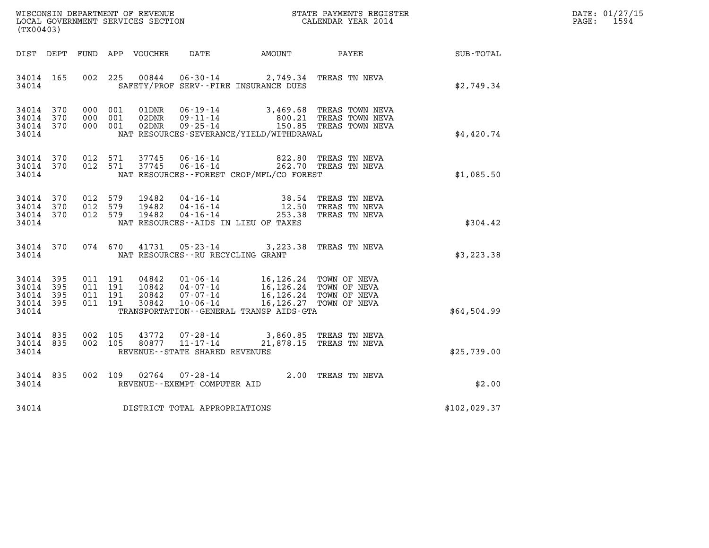| DATE: | 01/27/15 |
|-------|----------|
| PAGE: | 1594     |

|                        |     |                    |                |                                |                                                                                                                                                                                                                                                     | WISCONSIN DEPARTMENT OF REVENUE<br>LOCAL GOVERNMENT SERVICES SECTION<br>CALENDAR YEAR 2014              |              | DATE: 01/27/15<br>$\mathtt{PAGE:}$<br>1594 |
|------------------------|-----|--------------------|----------------|--------------------------------|-----------------------------------------------------------------------------------------------------------------------------------------------------------------------------------------------------------------------------------------------------|---------------------------------------------------------------------------------------------------------|--------------|--------------------------------------------|
| (TX00403)              |     |                    |                |                                |                                                                                                                                                                                                                                                     |                                                                                                         |              |                                            |
| DIST DEPT              |     |                    |                |                                |                                                                                                                                                                                                                                                     |                                                                                                         |              |                                            |
| 34014 165<br>34014     |     |                    |                |                                | 002 225 00844 06-30-14 2,749.34 TREAS TN NEVA<br>SAFETY/PROF SERV--FIRE INSURANCE DUES                                                                                                                                                              |                                                                                                         | \$2,749.34   |                                            |
| 34014 370              |     | 000 001            | 01DNR          |                                |                                                                                                                                                                                                                                                     |                                                                                                         |              |                                            |
| 34014 370<br>34014 370 |     | 000 001<br>000 001 | 02DNR<br>02DNR |                                |                                                                                                                                                                                                                                                     | 06-19-14 3,469.68 TREAS TOWN NEVA<br>09-11-14 800.21 TREAS TOWN NEVA<br>09-25-14 150.85 TREAS TOWN NEVA |              |                                            |
| 34014                  |     |                    |                |                                | NAT RESOURCES-SEVERANCE/YIELD/WITHDRAWAL                                                                                                                                                                                                            |                                                                                                         | \$4,420.74   |                                            |
| 34014 370<br>34014 370 |     | 012 571<br>012 571 | 37745<br>37745 |                                | 06-16-14  822.80 TREAS TN NEVA<br>06-16-14  262.70 TREAS TN NEVA                                                                                                                                                                                    |                                                                                                         |              |                                            |
| 34014                  |     |                    |                |                                | NAT RESOURCES--FOREST CROP/MFL/CO FOREST                                                                                                                                                                                                            |                                                                                                         | \$1,085.50   |                                            |
| 34014                  | 370 | 012 579            | 19482          |                                |                                                                                                                                                                                                                                                     |                                                                                                         |              |                                            |
| 34014 370<br>34014 370 |     | 012 579<br>012 579 | 19482<br>19482 |                                | 04-16-14 38.54 TREAS TN NEVA<br>04-16-14 12.50 TREAS TN NEVA<br>04-16-14 253.38 TREAS TN NEVA                                                                                                                                                       |                                                                                                         |              |                                            |
| 34014                  |     |                    |                |                                | NAT RESOURCES -- AIDS IN LIEU OF TAXES                                                                                                                                                                                                              |                                                                                                         | \$304.42     |                                            |
| 34014 370              |     |                    |                |                                | 074 670 41731 05-23-14 3, 223.38 TREAS TN NEVA                                                                                                                                                                                                      |                                                                                                         |              |                                            |
| 34014                  |     |                    |                |                                | NAT RESOURCES--RU RECYCLING GRANT                                                                                                                                                                                                                   |                                                                                                         | \$3,223.38   |                                            |
| 34014                  | 395 | 011 191            |                |                                |                                                                                                                                                                                                                                                     |                                                                                                         |              |                                            |
| 34014<br>34014 395     | 395 | 011 191<br>011 191 | 10842          |                                | $\begin{array}{cccc} 04842 & 01\cdot 06\cdot 14 & 16\, , 126\, .24 & \text{TOWN OF NEVA} \\ 10842 & 04\cdot 07\cdot 14 & 16\, , 126\, .24 & \text{TOWN OF NEVA} \\ 20842 & 07\cdot 07\cdot 14 & 16\, , 126\, .24 & \text{TOWN OF NEVA} \end{array}$ |                                                                                                         |              |                                            |
| 34014 395<br>34014     |     | 011 191            | 30842          | $10 - 06 - 14$                 | TRANSPORTATION--GENERAL TRANSP AIDS-GTA                                                                                                                                                                                                             | 16,126.27 TOWN OF NEVA                                                                                  | \$64,504.99  |                                            |
|                        |     |                    |                |                                |                                                                                                                                                                                                                                                     |                                                                                                         |              |                                            |
| 34014 835<br>34014 835 |     | 002 105<br>002 105 | 43772<br>80877 |                                | 07-28-14 3,860.85 TREAS TN NEVA<br>11-17-14 21,878.15 TREAS TN NEVA                                                                                                                                                                                 |                                                                                                         |              |                                            |
| 34014                  |     |                    |                | REVENUE--STATE SHARED REVENUES |                                                                                                                                                                                                                                                     |                                                                                                         | \$25,739.00  |                                            |
| 34014 835<br>34014     |     | 002 109            |                | REVENUE--EXEMPT COMPUTER AID   | 02764  07-28-14  2.00 TREAS TN NEVA                                                                                                                                                                                                                 |                                                                                                         | \$2.00       |                                            |
|                        |     |                    |                |                                |                                                                                                                                                                                                                                                     |                                                                                                         |              |                                            |
| 34014                  |     |                    |                | DISTRICT TOTAL APPROPRIATIONS  |                                                                                                                                                                                                                                                     |                                                                                                         | \$102,029.37 |                                            |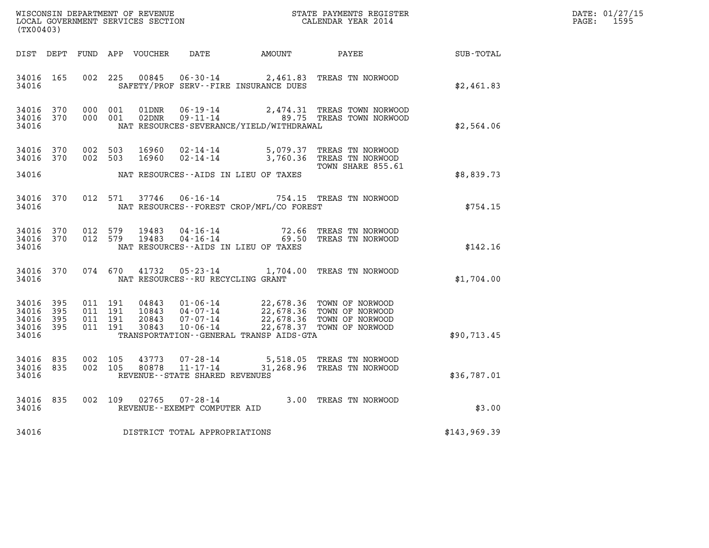| DATE: | 01/27/15 |
|-------|----------|
| PAGE: | 1595     |

| (TX00403)                                             |       |                                          |                                 |                                   |                                          | WISCONSIN DEPARTMENT OF REVENUE<br>LOCAL GOVERNMENT SERVICES SECTION<br>CALENDAR YEAR 2014                                                                                               |              | DATE: 01/27/15<br>$\mathtt{PAGE:}$<br>1595 |
|-------------------------------------------------------|-------|------------------------------------------|---------------------------------|-----------------------------------|------------------------------------------|------------------------------------------------------------------------------------------------------------------------------------------------------------------------------------------|--------------|--------------------------------------------|
|                                                       |       |                                          | DIST DEPT FUND APP VOUCHER DATE |                                   |                                          | AMOUNT PAYEE                                                                                                                                                                             | SUB - TOTAL  |                                            |
| 34016 165<br>34016                                    |       |                                          |                                 |                                   | SAFETY/PROF SERV--FIRE INSURANCE DUES    | 002 225 00845 06-30-14 2,461.83 TREAS TN NORWOOD                                                                                                                                         | \$2,461.83   |                                            |
| 34016 370<br>34016 370<br>34016                       |       | 000 001<br>000 001                       | 01DNR<br>02DNR                  | $06 - 19 - 14$<br>$09 - 11 - 14$  | NAT RESOURCES-SEVERANCE/YIELD/WITHDRAWAL | 2,474.31 TREAS TOWN NORWOOD<br>89.75 TREAS TOWN NORWOOD                                                                                                                                  | \$2,564.06   |                                            |
| 34016 370<br>34016 370<br>34016                       |       | 002 503<br>002 503                       |                                 |                                   | NAT RESOURCES--AIDS IN LIEU OF TAXES     | 16960  02-14-14  5,079.37  TREAS TN NORWOOD<br>16960  02-14-14  3,760.36  TREAS TN NORWOOD<br>TOWN SHARE 855.61                                                                          | \$8,839.73   |                                            |
| 34016 370<br>34016                                    |       |                                          |                                 |                                   | NAT RESOURCES--FOREST CROP/MFL/CO FOREST | 012 571 37746 06-16-14 754.15 TREAS TN NORWOOD                                                                                                                                           | \$754.15     |                                            |
| 34016 370<br>34016 370<br>34016                       |       | 012 579<br>012 579                       | 19483<br>19483                  |                                   | NAT RESOURCES--AIDS IN LIEU OF TAXES     | 04-16-14 72.66 TREAS TN NORWOOD<br>04-16-14 69.50 TREAS TN NORWOOD                                                                                                                       | \$142.16     |                                            |
| 34016 370<br>34016                                    |       | 074 670                                  |                                 | NAT RESOURCES--RU RECYCLING GRANT |                                          | 41732  05-23-14  1,704.00  TREAS TN NORWOOD                                                                                                                                              | \$1,704.00   |                                            |
| 34016 395<br>34016<br>34016 395<br>34016 395<br>34016 | - 395 | 011 191<br>011 191<br>011 191<br>011 191 |                                 |                                   | TRANSPORTATION--GENERAL TRANSP AIDS-GTA  | 04843  01-06-14  22,678.36  TOWN OF NORWOOD<br>10843  04-07-14  22,678.36  TOWN OF NORWOOD<br>20843  07-07-14  22,678.36  TOWN OF NORWOOD<br>30843  10-06-14  22,678.37  TOWN OF NORWOOD | \$90,713.45  |                                            |
| 34016 835<br>34016 835<br>34016                       |       | 002 105<br>002 105                       |                                 | REVENUE--STATE SHARED REVENUES    |                                          | 43773  07-28-14  5,518.05  TREAS TN NORWOOD<br>80878  11-17-14  31,268.96  TREAS TN NORWOOD                                                                                              | \$36,787.01  |                                            |
| 34016<br>34016                                        | 835   |                                          |                                 | REVENUE--EXEMPT COMPUTER AID      |                                          | 002 109 02765 07-28-14 3.00 TREAS TN NORWOOD                                                                                                                                             | \$3.00       |                                            |
| 34016                                                 |       |                                          |                                 | DISTRICT TOTAL APPROPRIATIONS     |                                          |                                                                                                                                                                                          | \$143,969.39 |                                            |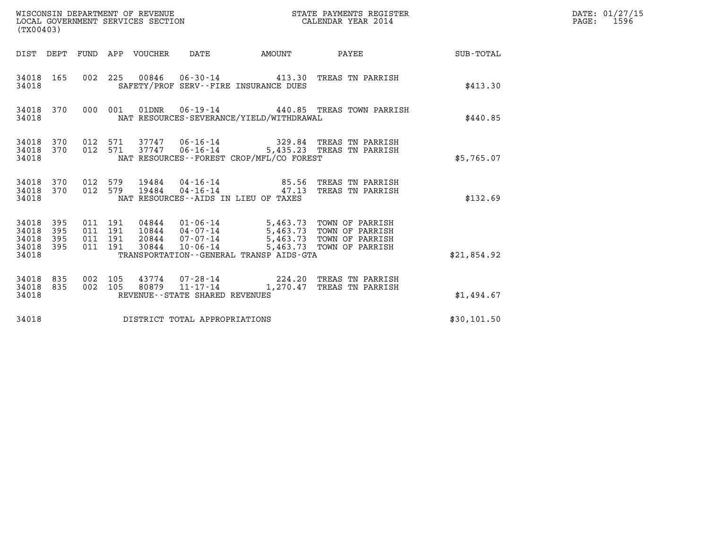| WISCONSIN DEPARTMENT OF REVENUE<br>LOCAL GOVERNMENT SERVICES SECTION<br>(TX00403) |                          |                                          |         |                            |                                   |                                                              | STATE PAYMENTS REGISTER<br>CALENDAR YEAR 2014                                                                                                                                        |             | DATE: 01/27/15<br>1596<br>$\mathtt{PAGE:}$ |
|-----------------------------------------------------------------------------------|--------------------------|------------------------------------------|---------|----------------------------|-----------------------------------|--------------------------------------------------------------|--------------------------------------------------------------------------------------------------------------------------------------------------------------------------------------|-------------|--------------------------------------------|
|                                                                                   |                          |                                          |         | DIST DEPT FUND APP VOUCHER | DATE                              |                                                              | AMOUNT PAYEE                                                                                                                                                                         | SUB-TOTAL   |                                            |
| 34018 165<br>34018                                                                |                          |                                          |         |                            |                                   | SAFETY/PROF SERV--FIRE INSURANCE DUES                        | 002 225 00846 06-30-14 413.30 TREAS TN PARRISH                                                                                                                                       | \$413.30    |                                            |
| 34018 370<br>34018                                                                |                          |                                          | 000 001 |                            |                                   | NAT RESOURCES-SEVERANCE/YIELD/WITHDRAWAL                     | 01DNR  06-19-14  440.85 TREAS TOWN PARRISH                                                                                                                                           | \$440.85    |                                            |
| 34018<br>34018                                                                    | 34018 370 012 571<br>370 | 012 571                                  |         |                            |                                   | NAT RESOURCES--FOREST CROP/MFL/CO FOREST                     | 37747  06-16-14  329.84  TREAS TN PARRISH<br>37747  06-16-14  5,435.23  TREAS TN PARRISH                                                                                             | \$5,765.07  |                                            |
| 34018<br>34018<br>34018                                                           | 370<br>370               | 012 579<br>012 579                       |         | 19484<br>19484             |                                   | $04 - 16 - 14$ 85.56<br>NAT RESOURCES--AIDS IN LIEU OF TAXES | TREAS TN PARRISH<br>04-16-14 47.13 TREAS TN PARRISH                                                                                                                                  | \$132.69    |                                            |
| 34018<br>34018<br>34018<br>34018<br>34018                                         | 395<br>395<br>395<br>395 | 011 191<br>011 191<br>011 191<br>011 191 |         |                            |                                   | TRANSPORTATION--GENERAL TRANSP AIDS-GTA                      | 04844  01-06-14  5,463.73  TOWN OF PARRISH<br>10844  04-07-14  5,463.73  TOWN OF PARRISH<br>20844  07-07-14  5,463.73  TOWN OF PARRISH<br>30844  10-06-14  5,463.73  TOWN OF PARRISH | \$21,854.92 |                                            |
| 34018<br>34018<br>34018                                                           | 835<br>835               | 002 105<br>002 105                       |         |                            | REVENUE - - STATE SHARED REVENUES |                                                              | 43774 07-28-14 224.20 TREAS TN PARRISH<br>80879  11-17-14  1,270.47  TREAS TN PARRISH                                                                                                | \$1,494.67  |                                            |
| 34018                                                                             |                          |                                          |         |                            | DISTRICT TOTAL APPROPRIATIONS     |                                                              |                                                                                                                                                                                      | \$30,101.50 |                                            |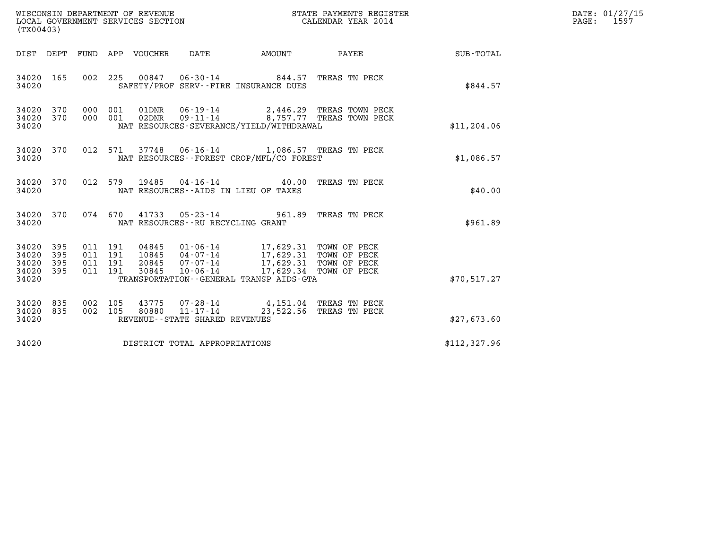| WISCONSIN DEPARTMENT OF REVENUE   | STATE PAYMENTS REGISTER | DATE: 01/27/15 |
|-----------------------------------|-------------------------|----------------|
| LOCAL GOVERNMENT SERVICES SECTION | CALENDAR YEAR 2014      | 1597<br>PAGE:  |

| ${\tt WISCOONSIM} \begin{tabular}{lcccc} {\tt WISCO} & {\tt NEPARTMENT} \begin{tabular}{lcccc} {\tt OF REVIEW} & {\tt MISCONSIM} & {\tt STATE} \end{tabular} & {\tt RENTE} \end{tabular} \begin{tabular}{lcccc} {\tt RED1S} & {\tt RIC1S} \end{tabular} \end{tabular}$<br>(TX00403)                                                                                                                                                                        | STATE PAYMENTS REGISTER                                                                         |              | DATE: 01/27/15<br>$\mathtt{PAGE:}$<br>1597 |
|------------------------------------------------------------------------------------------------------------------------------------------------------------------------------------------------------------------------------------------------------------------------------------------------------------------------------------------------------------------------------------------------------------------------------------------------------------|-------------------------------------------------------------------------------------------------|--------------|--------------------------------------------|
| DIST DEPT FUND APP VOUCHER DATE AMOUNT                                                                                                                                                                                                                                                                                                                                                                                                                     | <b>PAYEE</b> PAYEE                                                                              | SUB-TOTAL    |                                            |
| 34020 165<br>34020<br>SAFETY/PROF SERV--FIRE INSURANCE DUES                                                                                                                                                                                                                                                                                                                                                                                                | 002 225 00847 06-30-14 844.57 TREAS TN PECK                                                     | \$844.57     |                                            |
| 34020 370<br>$09 - 11 - 14$<br>34020 370<br>000 001 02DNR<br>34020<br>NAT RESOURCES-SEVERANCE/YIELD/WITHDRAWAL                                                                                                                                                                                                                                                                                                                                             | 2,446.29 TREAS TOWN PECK<br>8,757.77 TREAS TOWN PECK                                            | \$11, 204.06 |                                            |
| 34020 370<br>NAT RESOURCES--FOREST CROP/MFL/CO FOREST<br>34020                                                                                                                                                                                                                                                                                                                                                                                             | 012 571 37748 06-16-14 1,086.57 TREAS TN PECK                                                   | \$1,086.57   |                                            |
| 34020 370<br>34020<br>NAT RESOURCES -- AIDS IN LIEU OF TAXES                                                                                                                                                                                                                                                                                                                                                                                               | 012 579 19485 04-16-14 40.00 TREAS TN PECK                                                      | \$40.00      |                                            |
| 34020 370<br>34020<br>NAT RESOURCES--RU RECYCLING GRANT                                                                                                                                                                                                                                                                                                                                                                                                    | 074 670 41733 05-23-14 961.89 TREAS TN PECK                                                     | \$961.89     |                                            |
| $\begin{tabular}{cccccc} 011 & 191 & 04845 & 01\text{-}06\text{-}14 & 17,629.31 & \text{TOWN OF PECK} \\ 011 & 191 & 10845 & 04\text{-}07\text{-}14 & 17,629.31 & \text{TOWN OF PECK} \\ 011 & 191 & 20845 & 07\text{-}07\text{-}14 & 17,629.31 & \text{TOWN OF PECK} \\ 011 & 191 & 30845 & 10\text{-}06\text{-}14 & 17,629.34 & \$<br>34020<br>395<br>34020<br>395<br>34020<br>395<br>34020 395<br>34020<br>TRANSPORTATION - - GENERAL TRANSP AIDS - GTA |                                                                                                 | \$70,517.27  |                                            |
| 34020<br>835<br>34020 835<br>34020<br>REVENUE--STATE SHARED REVENUES                                                                                                                                                                                                                                                                                                                                                                                       | 002 105 43775 07-28-14 4,151.04 TREAS TN PECK<br>002 105 80880 11-17-14 23,522.56 TREAS TN PECK | \$27,673.60  |                                            |
| DISTRICT TOTAL APPROPRIATIONS<br>34020                                                                                                                                                                                                                                                                                                                                                                                                                     |                                                                                                 | \$112,327.96 |                                            |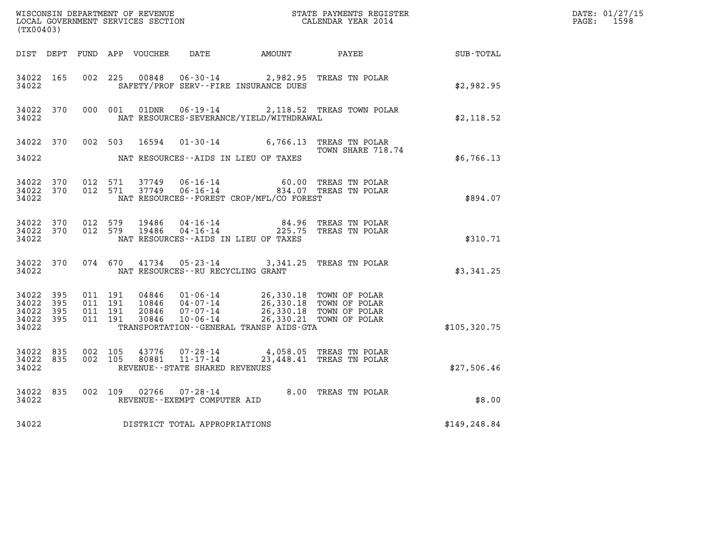| WISCONSIN DEPARTMENT OF REVENUE<br>LOCAL GOVERNMENT SERVICES SECTION<br>CALENDAR YEAR 2014<br>(TX00403) |           |                                          |  |                |                                   |                                                                                                                                                                                                                                                                                                                                                                                                                                          |                                                                                             |              | DATE: 01/27/15<br>$\mathtt{PAGE:}$<br>1598 |
|---------------------------------------------------------------------------------------------------------|-----------|------------------------------------------|--|----------------|-----------------------------------|------------------------------------------------------------------------------------------------------------------------------------------------------------------------------------------------------------------------------------------------------------------------------------------------------------------------------------------------------------------------------------------------------------------------------------------|---------------------------------------------------------------------------------------------|--------------|--------------------------------------------|
|                                                                                                         |           |                                          |  |                |                                   |                                                                                                                                                                                                                                                                                                                                                                                                                                          | DIST DEPT FUND APP VOUCHER DATE AMOUNT PAYEE SUB-TOTAL                                      |              |                                            |
| 34022 165<br>34022                                                                                      |           |                                          |  |                |                                   | 002 225 00848 06-30-14 2,982.95 TREAS TN POLAR<br>SAFETY/PROF SERV--FIRE INSURANCE DUES                                                                                                                                                                                                                                                                                                                                                  |                                                                                             | \$2,982.95   |                                            |
| 34022 370<br>34022                                                                                      |           | 000 001                                  |  |                |                                   | NAT RESOURCES-SEVERANCE/YIELD/WITHDRAWAL                                                                                                                                                                                                                                                                                                                                                                                                 | 01DNR  06-19-14  2,118.52 TREAS TOWN POLAR                                                  | \$2,118.52   |                                            |
| 34022                                                                                                   |           |                                          |  |                |                                   | NAT RESOURCES--AIDS IN LIEU OF TAXES                                                                                                                                                                                                                                                                                                                                                                                                     | 34022 370 002 503 16594 01-30-14 6,766.13 TREAS TN POLAR<br>TOWN SHARE 718.74               | \$6,766.13   |                                            |
| 34022 370<br>34022                                                                                      | 34022 370 | 012 571<br>012 571                       |  | 37749<br>37749 |                                   | NAT RESOURCES - - FOREST CROP/MFL/CO FOREST                                                                                                                                                                                                                                                                                                                                                                                              | 06-16-14 60.00 TREAS TN POLAR<br>06-16-14 834.07 TREAS TN POLAR                             | \$894.07     |                                            |
| 34022 370<br>34022                                                                                      |           | 34022 370 012 579                        |  |                |                                   | NAT RESOURCES--AIDS IN LIEU OF TAXES                                                                                                                                                                                                                                                                                                                                                                                                     | 012 579 19486 04-16-14 64.96 TREAS TN POLAR<br>012 579 19486 04-16-14 225.75 TREAS TN POLAR | \$310.71     |                                            |
| 34022                                                                                                   |           |                                          |  |                | NAT RESOURCES--RU RECYCLING GRANT | 34022 370 074 670 41734 05-23-14 3,341.25 TREAS TN POLAR                                                                                                                                                                                                                                                                                                                                                                                 |                                                                                             | \$3,341.25   |                                            |
| 34022 395<br>34022 395<br>34022 395<br>34022 395<br>34022                                               |           | 011 191<br>011 191<br>011 191<br>011 191 |  |                |                                   | $\begin{array}{cccc} 04846 & 01\textnormal{-}06\textnormal{-}14 & 26,330.18 & \textnormal{TOWN OF POLAR} \\ 10846 & 04\textnormal{-}07\textnormal{-}14 & 26,330.18 & \textnormal{TOWN OF POLAR} \\ 20846 & 07\textnormal{-}07\textnormal{-}14 & 26,330.18 & \textnormal{TOWN OF POLAR} \\ 30846 & 10\textnormal{-}06\textnormal{-}14 & 26,330.21 & \textnormal{TOWN OF POLAR} \\ \end{array}$<br>TRANSPORTATION--GENERAL TRANSP AIDS-GTA |                                                                                             | \$105,320.75 |                                            |
| 34022 835<br>34022 835<br>34022                                                                         |           | 002 105<br>002 105                       |  |                | REVENUE - - STATE SHARED REVENUES |                                                                                                                                                                                                                                                                                                                                                                                                                                          | 43776  07-28-14  4,058.05  TREAS TN POLAR<br>80881  11-17-14  23,448.41  TREAS TN POLAR     | \$27,506.46  |                                            |
| 34022 835<br>34022                                                                                      |           |                                          |  |                | REVENUE--EXEMPT COMPUTER AID      | 002 109 02766 07-28-14 8.00 TREAS TN POLAR                                                                                                                                                                                                                                                                                                                                                                                               |                                                                                             | \$8.00       |                                            |
| 34022                                                                                                   |           |                                          |  |                | DISTRICT TOTAL APPROPRIATIONS     |                                                                                                                                                                                                                                                                                                                                                                                                                                          |                                                                                             | \$149,248.84 |                                            |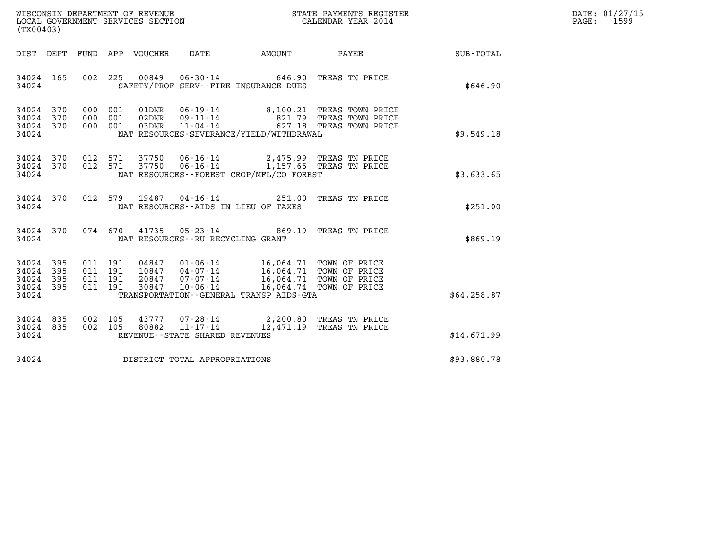| WISCONSIN DEPARTMENT OF REVENUE   | STATE PAYMENTS REGISTER | DATE: 01/27/15 |
|-----------------------------------|-------------------------|----------------|
| LOCAL GOVERNMENT SERVICES SECTION | CALENDAR YEAR 2014      | 1599<br>PAGE:  |

| WISCONSIN DEPARTMENT OF REVENUE<br>LOCAL GOVERNMENT SERVICES SECTION<br>(TX00403) |                    |                                                  |                                      |                                                                | STATE PAYMENTS REGISTER<br>CALENDAR YEAR 2014                                                                                                        |              | DATE: 01/27/15<br>PAGE:<br>1599 |
|-----------------------------------------------------------------------------------|--------------------|--------------------------------------------------|--------------------------------------|----------------------------------------------------------------|------------------------------------------------------------------------------------------------------------------------------------------------------|--------------|---------------------------------|
| DIST DEPT                                                                         |                    |                                                  | FUND APP VOUCHER DATE AMOUNT         |                                                                | <b>PAYEE</b>                                                                                                                                         | SUB-TOTAL    |                                 |
| 34024 165<br>34024                                                                |                    | 002 225 00849                                    |                                      | $06 - 30 - 14$ 646.90<br>SAFETY/PROF SERV--FIRE INSURANCE DUES | TREAS TN PRICE                                                                                                                                       | \$646.90     |                                 |
| 34024 370<br>34024 370<br>34024 370<br>34024                                      |                    |                                                  |                                      | NAT RESOURCES-SEVERANCE/YIELD/WITHDRAWAL                       | 000 001 01DNR 06-19-14 8,100.21 TREAS TOWN PRICE<br>000 001 02DNR 09-11-14 821.79 TREAS TOWN PRICE<br>000 001 03DNR 11-04-14 627.18 TREAS TOWN PRICE | \$9,549.18   |                                 |
| 34024 370<br>34024 370<br>34024                                                   |                    |                                                  |                                      | NAT RESOURCES--FOREST CROP/MFL/CO FOREST                       | 012 571 37750 06-16-14 2,475.99 TREAS TN PRICE<br>012 571 37750 06-16-14 1,157.66 TREAS TN PRICE                                                     | \$3,633.65   |                                 |
| 34024 370<br>34024                                                                | 012 579            |                                                  |                                      | NAT RESOURCES -- AIDS IN LIEU OF TAXES                         | 19487  04-16-14  251.00 TREAS TN PRICE                                                                                                               | \$251.00     |                                 |
| 34024 370<br>34024                                                                |                    |                                                  | NAT RESOURCES - - RU RECYCLING GRANT |                                                                | 074 670 41735 05-23-14 869.19 TREAS TN PRICE                                                                                                         | \$869.19     |                                 |
| 34024<br>395<br>34024<br>395<br>34024 395<br>34024 395<br>34024                   | 011 191<br>011 191 | 011 191 04847<br>011 191 10847<br>20847<br>30847 | $10 - 06 - 14$                       | TRANSPORTATION - - GENERAL TRANSP AIDS - GTA                   | 01-06-14 16,064.71 TOWN OF PRICE<br>04-07-14 16,064.71 TOWN OF PRICE<br>07-07-14 16,064.71 TOWN OF PRICE<br>16,064.74 TOWN OF PRICE                  | \$64, 258.87 |                                 |
| 34024 835<br>34024 835<br>34024                                                   | 002 105<br>002 105 | 43777<br>80882                                   | REVENUE--STATE SHARED REVENUES       |                                                                | 07-28-14 2,200.80 TREAS TN PRICE<br>11-17-14 12,471.19 TREAS TN PRICE                                                                                | \$14,671.99  |                                 |
| 34024                                                                             |                    |                                                  | DISTRICT TOTAL APPROPRIATIONS        |                                                                |                                                                                                                                                      | \$93,880.78  |                                 |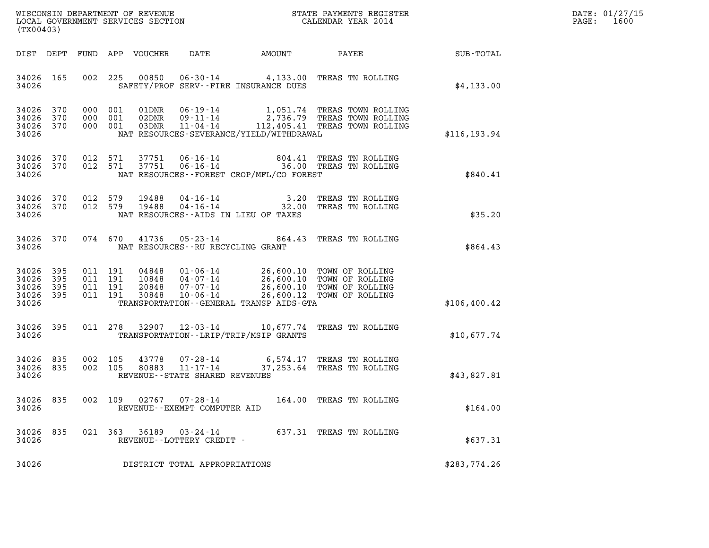| DATE: | 01/27/15 |
|-------|----------|
| PAGE: | 1600     |

|                                               | (TX00403)         |                                          |         |                  |                                                     |                                          |                                                                                                                                                                     |                  | DATE: 01/27/15<br>$\mathtt{PAGE}$ :<br>1600 |
|-----------------------------------------------|-------------------|------------------------------------------|---------|------------------|-----------------------------------------------------|------------------------------------------|---------------------------------------------------------------------------------------------------------------------------------------------------------------------|------------------|---------------------------------------------|
|                                               | DIST DEPT         |                                          |         | FUND APP VOUCHER | DATE                                                | AMOUNT                                   | PAYEE                                                                                                                                                               | <b>SUB-TOTAL</b> |                                             |
| 34026 165<br>34026                            |                   | 002 225                                  |         | 00850            |                                                     | SAFETY/PROF SERV--FIRE INSURANCE DUES    | 06-30-14 4,133.00 TREAS TN ROLLING                                                                                                                                  | \$4,133.00       |                                             |
| 34026 370<br>34026<br>34026 370<br>34026      | 370               | 000 001<br>000 001<br>000 001            |         | 01DNR<br>03DNR   | $11 - 04 - 14$                                      | NAT RESOURCES-SEVERANCE/YIELD/WITHDRAWAL | 06-19-14 1,051.74 TREAS TOWN ROLLING<br>02DNR  09-11-14  2,736.79 TREAS TOWN ROLLING<br>112,405.41 TREAS TOWN ROLLING                                               | \$116, 193.94    |                                             |
| 34026 370<br>34026                            | 34026 370         | 012 571<br>012 571                       |         | 37751<br>37751   |                                                     | NAT RESOURCES--FOREST CROP/MFL/CO FOREST | 06-16-14  804.41 TREAS TN ROLLING<br>06-16-14  36.00 TREAS TN ROLLING                                                                                               | \$840.41         |                                             |
| 34026 370<br>34026 370<br>34026               |                   | 012 579<br>012 579                       |         | 19488<br>19488   |                                                     | NAT RESOURCES--AIDS IN LIEU OF TAXES     | 04-16-14 3.20 TREAS TN ROLLING<br>04-16-14 32.00 TREAS TN ROLLING                                                                                                   | \$35.20          |                                             |
| 34026                                         | 34026 370         |                                          |         |                  | NAT RESOURCES -- RU RECYCLING GRANT                 |                                          | 074 670 41736 05-23-14 864.43 TREAS TN ROLLING                                                                                                                      | \$864.43         |                                             |
| 34026<br>34026<br>34026<br>34026 395<br>34026 | 395<br>395<br>395 | 011 191<br>011 191<br>011 191<br>011 191 |         | 30848            | $10 - 06 - 14$                                      | TRANSPORTATION--GENERAL TRANSP AIDS-GTA  | 04848  01-06-14  26,600.10 TOWN OF ROLLING<br>10848  04-07-14  26,600.10 TOWN OF ROLLING<br>20848  07-07-14  26,600.10 TOWN OF ROLLING<br>26,600.12 TOWN OF ROLLING | \$106,400.42     |                                             |
| 34026 395<br>34026                            |                   | 011 278                                  |         |                  |                                                     | TRANSPORTATION - - LRIP/TRIP/MSIP GRANTS | 32907  12-03-14  10,677.74  TREAS TN ROLLING                                                                                                                        | \$10,677.74      |                                             |
| 34026<br>34026 835<br>34026                   | 835               | 002 105<br>002 105                       |         | 43778<br>80883   | $11 - 17 - 14$<br>REVENUE - - STATE SHARED REVENUES |                                          | 07-28-14 6,574.17 TREAS TN ROLLING<br>37,253.64 TREAS TN ROLLING                                                                                                    | \$43,827.81      |                                             |
| 34026 835<br>34026                            |                   |                                          | 002 109 | 02767            | 07-28-14<br>REVENUE--EXEMPT COMPUTER AID            |                                          | 164.00 TREAS TN ROLLING                                                                                                                                             | \$164.00         |                                             |
| 34026<br>34026                                | 835               |                                          | 021 363 | 36189            | 03-24-14<br>REVENUE--LOTTERY CREDIT -               |                                          | 637.31 TREAS TN ROLLING                                                                                                                                             | \$637.31         |                                             |
| 34026                                         |                   |                                          |         |                  | DISTRICT TOTAL APPROPRIATIONS                       |                                          |                                                                                                                                                                     | \$283,774.26     |                                             |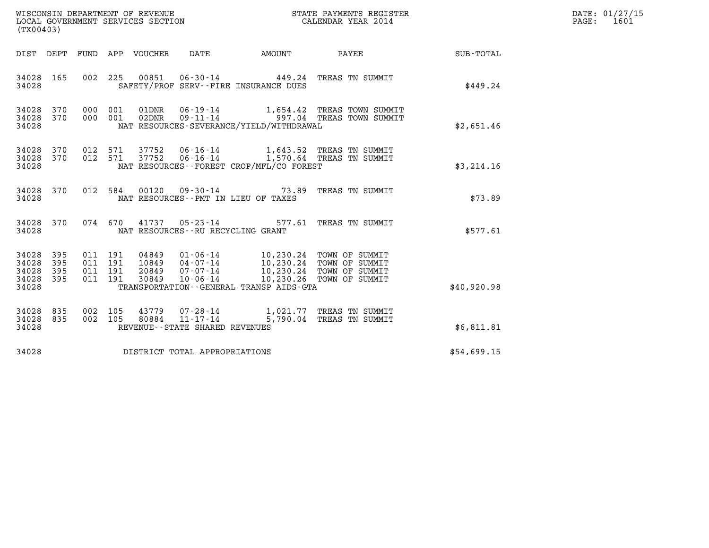|                                           | WISCONSIN DEPARTMENT OF REVENUE<br>LOCAL GOVERNMENT SERVICES SECTION<br>(TX00403) |                                          |         |                                 |                                      |                                             | STATE PAYMENTS REGISTER<br>CALENDAR YEAR 2014                                              | DATE: 01/27/15<br>PAGE: 1601 |  |
|-------------------------------------------|-----------------------------------------------------------------------------------|------------------------------------------|---------|---------------------------------|--------------------------------------|---------------------------------------------|--------------------------------------------------------------------------------------------|------------------------------|--|
|                                           |                                                                                   |                                          |         | DIST DEPT FUND APP VOUCHER DATE |                                      | <b>EXAMPLE TO AMOUNT</b>                    | <b>PAYEE</b>                                                                               | <b>SUB-TOTAL</b>             |  |
| 34028 165<br>34028                        |                                                                                   |                                          |         |                                 |                                      | SAFETY/PROF SERV--FIRE INSURANCE DUES       | 002 225 00851 06-30-14 449.24 TREAS TN SUMMIT                                              | \$449.24                     |  |
| 34028<br>34028<br>34028                   | 370<br>370                                                                        | 000 001<br>000 001                       |         | 02DNR                           |                                      | NAT RESOURCES-SEVERANCE/YIELD/WITHDRAWAL    | $01$ DNR $06 - 19 - 14$ 1,654.42 TREAS TOWN SUMMIT<br>09-11-14 997.04 TREAS TOWN SUMMIT    | \$2,651.46                   |  |
| 34028<br>34028<br>34028                   | 370<br>370                                                                        | 012 571<br>012 571                       |         | 37752                           |                                      | NAT RESOURCES - - FOREST CROP/MFL/CO FOREST | 37752  06-16-14   1,643.52   TREAS TN SUMMIT<br>06-16-14 1,570.64 TREAS TN SUMMIT          | \$3,214.16                   |  |
| 34028 370<br>34028                        |                                                                                   |                                          | 012 584 |                                 | NAT RESOURCES - PMT IN LIEU OF TAXES |                                             | 00120  09-30-14  73.89  TREAS TN SUMMIT                                                    | \$73.89                      |  |
| 34028 370<br>34028                        |                                                                                   |                                          | 074 670 |                                 | NAT RESOURCES - - RU RECYCLING GRANT |                                             | 41737  05-23-14  577.61  TREAS TN SUMMIT                                                   | \$577.61                     |  |
| 34028<br>34028<br>34028<br>34028<br>34028 | 395<br>395<br>395<br>395                                                          | 011 191<br>011 191<br>011 191<br>011 191 |         | 04849<br>20849<br>30849         | 10849 04-07-14                       | TRANSPORTATION--GENERAL TRANSP AIDS-GTA     |                                                                                            | \$40,920.98                  |  |
| 34028<br>34028<br>34028                   | 835<br>835                                                                        | 002 105<br>002 105                       |         |                                 | REVENUE - - STATE SHARED REVENUES    |                                             | 43779  07-28-14   1,021.77  TREAS TN SUMMIT<br>80884  11-17-14   5,790.04  TREAS TN SUMMIT | \$6,811.81                   |  |
| 34028                                     |                                                                                   |                                          |         |                                 | DISTRICT TOTAL APPROPRIATIONS        |                                             |                                                                                            | \$54,699.15                  |  |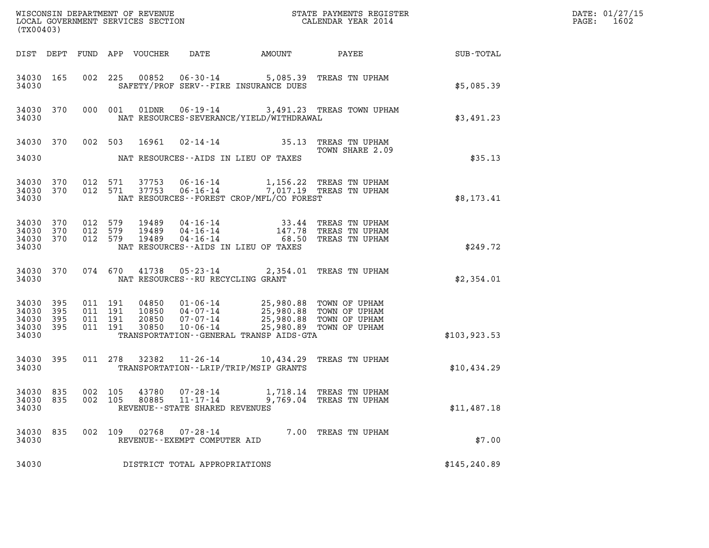| (TX00403)                                         |            |                               |         |                            |                                                                       |                                                                                                                                          |                                             |                 | DATE: 01/27/15<br>$\mathtt{PAGE:}$<br>1602 |
|---------------------------------------------------|------------|-------------------------------|---------|----------------------------|-----------------------------------------------------------------------|------------------------------------------------------------------------------------------------------------------------------------------|---------------------------------------------|-----------------|--------------------------------------------|
|                                                   |            |                               |         | DIST DEPT FUND APP VOUCHER | DATE                                                                  | AMOUNT                                                                                                                                   |                                             | PAYEE SUB-TOTAL |                                            |
| 34030 165<br>34030                                |            |                               |         |                            |                                                                       | 002 225 00852 06-30-14 5,085.39 TREAS TN UPHAM<br>SAFETY/PROF SERV--FIRE INSURANCE DUES                                                  |                                             | \$5,085.39      |                                            |
| 34030 370<br>34030                                |            |                               | 000 001 |                            |                                                                       | NAT RESOURCES-SEVERANCE/YIELD/WITHDRAWAL                                                                                                 | 01DNR  06-19-14  3,491.23  TREAS TOWN UPHAM | \$3,491.23      |                                            |
| 34030 370 002 503                                 |            |                               |         | 16961                      |                                                                       | 02-14-14 35.13 TREAS TN UPHAM                                                                                                            | TOWN SHARE 2.09                             |                 |                                            |
| 34030                                             |            |                               |         |                            |                                                                       | NAT RESOURCES--AIDS IN LIEU OF TAXES                                                                                                     |                                             | \$35.13         |                                            |
| 34030 370 012 571<br>34030 370 012 571<br>34030   |            |                               |         |                            |                                                                       | NAT RESOURCES--FOREST CROP/MFL/CO FOREST                                                                                                 |                                             | \$8,173.41      |                                            |
| 34030 370<br>34030<br>34030 370<br>34030          | 370        | 012 579<br>012 579<br>012 579 |         | 19489<br>19489<br>19489    |                                                                       | 04-16-14 33.44 TREAS TN UPHAM<br>04-16-14 147.78 TREAS TN UPHAM<br>04-16-14 68.50 TREAS TN UPHAM<br>NAT RESOURCES--AIDS IN LIEU OF TAXES |                                             | \$249.72        |                                            |
| 34030 370<br>34030                                |            |                               |         |                            |                                                                       | 074 670 41738 05-23-14 2,354.01 TREAS TN UPHAM<br>NAT RESOURCES--RU RECYCLING GRANT                                                      |                                             | \$2,354.01      |                                            |
| 34030 395<br>34030<br>34030<br>34030 395<br>34030 | 395<br>395 | 011 191<br>011 191<br>011 191 | 011 191 | 30850                      | $10 - 06 - 14$                                                        | TRANSPORTATION - - GENERAL TRANSP AIDS - GTA                                                                                             | 25,980.89 TOWN OF UPHAM                     | \$103, 923.53   |                                            |
| 34030 395<br>34030                                |            |                               |         |                            |                                                                       | 011 278 32382 11-26-14 10,434.29 TREAS TN UPHAM<br>TRANSPORTATION - - LRIP/TRIP/MSIP GRANTS                                              |                                             | \$10,434.29     |                                            |
| 34030 835<br>34030 835<br>34030                   |            | 002<br>002 105                | 105     | 43780<br>80885             | $07 - 28 - 14$<br>$11 - 17 - 14$<br>REVENUE - - STATE SHARED REVENUES | 1,718.14                                                                                                                                 | TREAS TN UPHAM<br>9,769.04 TREAS TN UPHAM   | \$11,487.18     |                                            |
| 34030 835<br>34030                                |            | 002 109                       |         | 02768                      | 07-28-14<br>REVENUE--EXEMPT COMPUTER AID                              |                                                                                                                                          | 7.00 TREAS TN UPHAM                         | \$7.00          |                                            |
| 34030                                             |            |                               |         |                            | DISTRICT TOTAL APPROPRIATIONS                                         |                                                                                                                                          |                                             | \$145, 240.89   |                                            |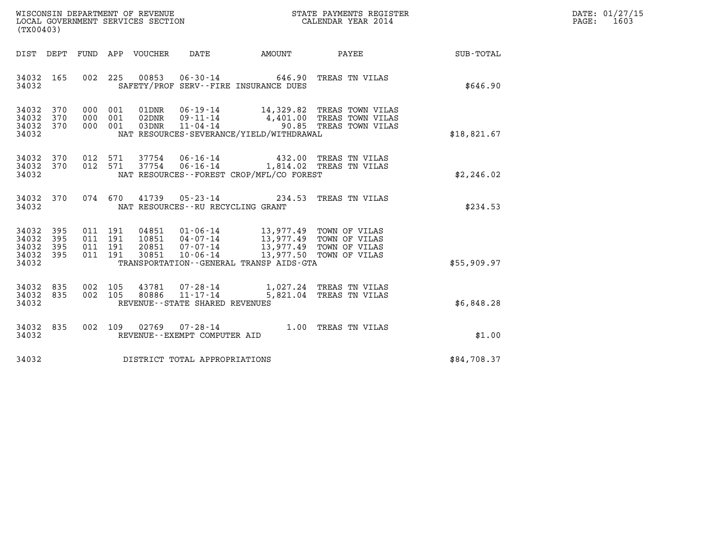| WISCONSIN DEPARTMENT OF REVENUE   | STATE PAYMENTS REGISTER | DATE: 01/27/15 |
|-----------------------------------|-------------------------|----------------|
| LOCAL GOVERNMENT SERVICES SECTION | CALENDAR YEAR 2014      | 1603<br>PAGE:  |

| (TX00403)                                           |  |                                         |                                                                                                                                                                                                                                                                                                                                                                                                 | WISCONSIN DEPARTMENT OF REVENUE<br>LOCAL GOVERNMENT SERVICES SECTION FOR THE STATE PAYMENTS REGISTER<br>CALENDAR YEAR 2014                             |                                                        | DATE: 01/27/15<br>$\mathtt{PAGE}$ :<br>1603 |
|-----------------------------------------------------|--|-----------------------------------------|-------------------------------------------------------------------------------------------------------------------------------------------------------------------------------------------------------------------------------------------------------------------------------------------------------------------------------------------------------------------------------------------------|--------------------------------------------------------------------------------------------------------------------------------------------------------|--------------------------------------------------------|---------------------------------------------|
|                                                     |  |                                         |                                                                                                                                                                                                                                                                                                                                                                                                 |                                                                                                                                                        | DIST DEPT FUND APP VOUCHER DATE AMOUNT PAYEE SUB-TOTAL |                                             |
| 34032 165<br>34032                                  |  |                                         | SAFETY/PROF SERV--FIRE INSURANCE DUES                                                                                                                                                                                                                                                                                                                                                           | 002 225 00853 06-30-14 646.90 TREAS TN VILAS                                                                                                           | \$646.90                                               |                                             |
| 34032 370<br>34032<br>370<br>34032 370<br>34032     |  |                                         | NAT RESOURCES-SEVERANCE/YIELD/WITHDRAWAL                                                                                                                                                                                                                                                                                                                                                        | 000 001 01DNR 06-19-14 14,329.82 TREAS TOWN VILAS<br>000 001 02DNR 09-11-14 4,401.00 TREAS TOWN VILAS<br>000 001 03DNR 11-04-14 90.85 TREAS TOWN VILAS | \$18,821.67                                            |                                             |
| 34032 370<br>34032 370<br>34032                     |  |                                         | NAT RESOURCES--FOREST CROP/MFL/CO FOREST                                                                                                                                                                                                                                                                                                                                                        | 012 571 37754 06-16-14 432.00 TREAS TN VILAS<br>012 571 37754 06-16-14 1,814.02 TREAS TN VILAS                                                         | \$2,246.02                                             |                                             |
|                                                     |  | 34032 NAT RESOURCES--RU RECYCLING GRANT |                                                                                                                                                                                                                                                                                                                                                                                                 | 34032 370 074 670 41739 05-23-14 234.53 TREAS TN VILAS                                                                                                 | \$234.53                                               |                                             |
| 34032 395<br>34032<br>395<br>34032 395<br>34032 395 |  |                                         | $\begin{array}{cccc} 011 & 191 & 04851 & 01\cdot 06\cdot 14 & 13\,, 977\cdot 49 & \text{TOWN OF VILAS} \\ 011 & 191 & 10851 & 04\cdot 07\cdot 14 & 13\,, 977\cdot 49 & \text{TOWN OF VILAS} \\ 011 & 191 & 20851 & 07\cdot 07\cdot 14 & 13\,, 977\cdot 49 & \text{TOWN OF VILAS} \\ 011 & 191 & 30851 & 10\cdot 06\cdot 14 & 13\,, 977\cdot 5$<br>34032 TRANSPORTATION--GENERAL TRANSP AIDS-GTA |                                                                                                                                                        | \$55,909.97                                            |                                             |
| 34032 835<br>34032 835                              |  | 34032 REVENUE - - STATE SHARED REVENUES |                                                                                                                                                                                                                                                                                                                                                                                                 | 002 105 43781 07-28-14 1,027.24 TREAS TN VILAS<br>002 105 80886 11-17-14 5,821.04 TREAS TN VILAS                                                       | \$6,848.28                                             |                                             |
| 34032 835<br>34032                                  |  | REVENUE--EXEMPT COMPUTER AID            |                                                                                                                                                                                                                                                                                                                                                                                                 | 002 109 02769 07-28-14 1.00 TREAS TN VILAS                                                                                                             | \$1.00                                                 |                                             |
|                                                     |  | 34032 DISTRICT TOTAL APPROPRIATIONS     |                                                                                                                                                                                                                                                                                                                                                                                                 |                                                                                                                                                        | \$84,708.37                                            |                                             |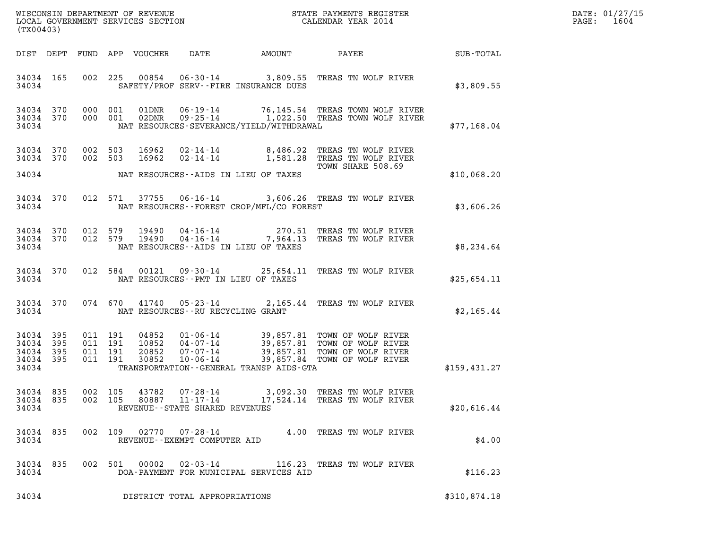| DATE: | 01/27/15 |
|-------|----------|
| PAGE: | 1604     |

| (TX00403)                                             |     |         |                                                                                                                                                                                                                                                                                                                                                                                               |              | DATE: 01/27/15<br>1604<br>$\mathtt{PAGE:}$ |
|-------------------------------------------------------|-----|---------|-----------------------------------------------------------------------------------------------------------------------------------------------------------------------------------------------------------------------------------------------------------------------------------------------------------------------------------------------------------------------------------------------|--------------|--------------------------------------------|
|                                                       |     |         |                                                                                                                                                                                                                                                                                                                                                                                               |              |                                            |
| 34034 165<br>34034                                    |     |         | 002 225 00854 06-30-14 3,809.55 TREAS TN WOLF RIVER<br>SAFETY/PROF SERV--FIRE INSURANCE DUES                                                                                                                                                                                                                                                                                                  | \$3,809.55   |                                            |
| 34034 370<br>34034 370<br>34034                       |     |         | 000 001 01DNR 06-19-14 76,145.54 TREAS TOWN WOLF RIVER<br>000 001 02DNR 09-25-14 1,022.50 TREAS TOWN WOLF RIVER<br>NAT RESOURCES-SEVERANCE/YIELD/WITHDRAWAL                                                                                                                                                                                                                                   | \$77,168.04  |                                            |
| 34034 370<br>34034 370                                |     | 002 503 | 16962  02-14-14  8,486.92  TREAS TN WOLF RIVER<br>16962  02-14-14   1,581.28  TREAS TN WOLF RIVER<br>002 503                                                                                                                                                                                                                                                                                  |              |                                            |
|                                                       |     |         | TOWN SHARE 508.69<br>34034 NAT RESOURCES--AIDS IN LIEU OF TAXES                                                                                                                                                                                                                                                                                                                               | \$10,068.20  |                                            |
| 34034 370<br>34034                                    |     |         | 012 571 37755 06-16-14 3,606.26 TREAS TN WOLF RIVER<br>NAT RESOURCES--FOREST CROP/MFL/CO FOREST                                                                                                                                                                                                                                                                                               | \$3,606.26   |                                            |
| 34034 370<br>34034 370<br>34034                       |     |         | 012 579 19490 04-16-14 270.51 TREAS TN WOLF RIVER<br>012 579 19490 04-16-14 7,964.13 TREAS TN WOLF RIVER<br>NAT RESOURCES--AIDS IN LIEU OF TAXES                                                                                                                                                                                                                                              | \$8,234.64   |                                            |
| 34034 370<br>34034                                    |     |         | 012 584 00121 09-30-14 25,654.11 TREAS TN WOLF RIVER<br>NAT RESOURCES -- PMT IN LIEU OF TAXES                                                                                                                                                                                                                                                                                                 | \$25,654.11  |                                            |
| 34034 370<br>34034                                    |     |         | 074 670 41740 05-23-14 2,165.44 TREAS TN WOLF RIVER<br>NAT RESOURCES -- RU RECYCLING GRANT                                                                                                                                                                                                                                                                                                    | \$2,165.44   |                                            |
| 34034 395<br>34034<br>34034 395<br>34034 395<br>34034 | 395 |         | $\begin{array}{cccc} 011 & 191 & 04852 & 01\cdot 06\cdot 14 & 39\,, 857\,.81 & \text{TOWN OF WOLF RIVER} \\ 011 & 191 & 10852 & 04\cdot 07\cdot 14 & 39\,, 857\,.81 & \text{TOWN OF WOLF RIVER} \\ 011 & 191 & 20852 & 07\cdot 07\cdot 14 & 39\,, 857\,.81 & \text{TOWN OF WOLF RIVER} \\ 011 & 191 & 30852 & 10\cdot 06\cdot 14 & 39\,, 857\,.84$<br>TRANSPORTATION--GENERAL TRANSP AIDS-GTA | \$159,431.27 |                                            |
| 34034 835<br>34034 835<br>34034                       |     |         | 002 105<br>43782<br>$07 - 28 - 14$<br>3,092.30 TREAS TN WOLF RIVER<br>002 105<br>80887<br>11-17-14<br>17,524.14 TREAS TN WOLF RIVER<br>REVENUE--STATE SHARED REVENUES                                                                                                                                                                                                                         | \$20,616.44  |                                            |
| 34034 835<br>34034                                    |     |         | 002 109<br>02770<br>$07 - 28 - 14$<br>4.00 TREAS TN WOLF RIVER<br>REVENUE--EXEMPT COMPUTER AID                                                                                                                                                                                                                                                                                                | \$4.00       |                                            |
| 34034 835<br>34034                                    |     |         | 002 501 00002<br>116.23 TREAS TN WOLF RIVER<br>02-03-14<br>DOA-PAYMENT FOR MUNICIPAL SERVICES AID                                                                                                                                                                                                                                                                                             | \$116.23     |                                            |
| 34034                                                 |     |         | DISTRICT TOTAL APPROPRIATIONS                                                                                                                                                                                                                                                                                                                                                                 | \$310,874.18 |                                            |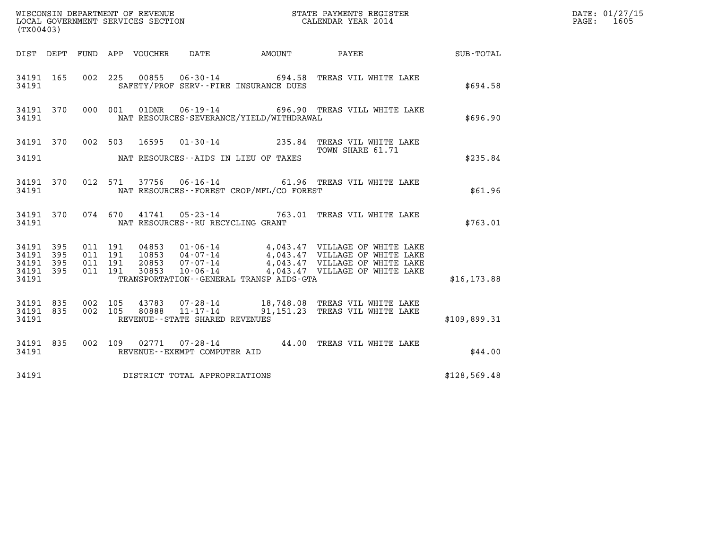| (TX00403)                       |  |                                                                                                                                                                                                                                  | $R = \frac{1}{2}$ | DATE: 01/27/15<br>PAGE: 1605 |
|---------------------------------|--|----------------------------------------------------------------------------------------------------------------------------------------------------------------------------------------------------------------------------------|-------------------|------------------------------|
|                                 |  | DIST DEPT FUND APP VOUCHER DATE AMOUNT PAYEE TO SUB-TOTAL                                                                                                                                                                        |                   |                              |
| 34191                           |  | 34191 165 002 225 00855 06-30-14 694.58 TREAS VIL WHITE LAKE<br>SAFETY/PROF SERV--FIRE INSURANCE DUES                                                                                                                            | \$694.58          |                              |
| 34191                           |  | 34191 370 000 001 01DNR 06-19-14 696.90 TREAS VILL WHITE LAKE<br>NAT RESOURCES-SEVERANCE/YIELD/WITHDRAWAL                                                                                                                        | \$696.90          |                              |
|                                 |  | 34191 370 002 503 16595 01-30-14 235.84 TREAS VIL WHITE LAKE<br>TOWN SHARE 61.71                                                                                                                                                 |                   |                              |
|                                 |  | 34191 MAT RESOURCES--AIDS IN LIEU OF TAXES                                                                                                                                                                                       | \$235.84          |                              |
| 34191                           |  | 34191 370 012 571 37756 06-16-14 61.96 TREAS VIL WHITE LAKE<br>NAT RESOURCES - FOREST CROP/MFL/CO FOREST                                                                                                                         | \$61.96           |                              |
|                                 |  | 34191 370 074 670 41741 05-23-14 763.01 TREAS VIL WHITE LAKE<br>34191 NAT RESOURCES--RU RECYCLING GRANT                                                                                                                          | \$763.01          |                              |
| 34191 395<br>34191 395          |  |                                                                                                                                                                                                                                  |                   |                              |
| 34191 395<br>34191 395          |  | 011 191 04853 01-06-14 4,043.47 VILLAGE OF WHITE LAKE<br>011 191 20853 04-07-14 4,043.47 VILLAGE OF WHITE LAKE<br>011 191 20853 07-07-14 4,043.47 VILLAGE OF WHITE LAKE<br>011 191 30853 10-06-14 4,043.47 VILLAGE OF WHITE LAKE |                   |                              |
| 34191                           |  | TRANSPORTATION--GENERAL TRANSP AIDS-GTA                                                                                                                                                                                          | \$16, 173.88      |                              |
| 34191 835<br>34191 835<br>34191 |  | 002 105 43783 07-28-14 18,748.08 TREAS VIL WHITE LAKE<br>002 105 80888 11-17-14 91,151.23 TREAS VIL WHITE LAKE<br>REVENUE--STATE SHARED REVENUES                                                                                 | \$109,899.31      |                              |
| 34191                           |  | 34191 835 002 109 02771 07-28-14 44.00 TREAS VIL WHITE LAKE<br>REVENUE--EXEMPT COMPUTER AID                                                                                                                                      | \$44.00           |                              |
|                                 |  | 34191 DISTRICT TOTAL APPROPRIATIONS                                                                                                                                                                                              | \$128,569.48      |                              |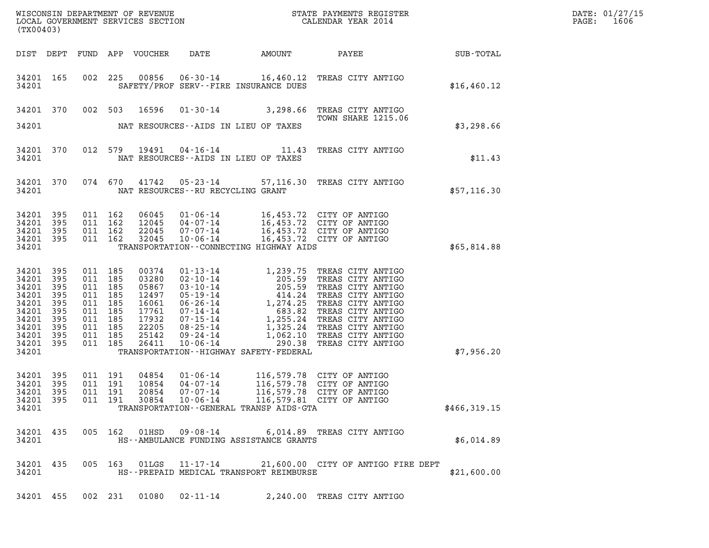| (TX00403)                                                                                       |                                                                      |                                                                                                            |                                          |                                                                                        |                                                          |                                                                                                                                                                                               |                                                                                                                                                                                                                                                                    |              | DATE: 01/27/15<br>$\mathtt{PAGE:}$<br>1606 |
|-------------------------------------------------------------------------------------------------|----------------------------------------------------------------------|------------------------------------------------------------------------------------------------------------|------------------------------------------|----------------------------------------------------------------------------------------|----------------------------------------------------------|-----------------------------------------------------------------------------------------------------------------------------------------------------------------------------------------------|--------------------------------------------------------------------------------------------------------------------------------------------------------------------------------------------------------------------------------------------------------------------|--------------|--------------------------------------------|
|                                                                                                 |                                                                      |                                                                                                            |                                          |                                                                                        |                                                          |                                                                                                                                                                                               |                                                                                                                                                                                                                                                                    |              |                                            |
| 34201 165<br>34201                                                                              |                                                                      |                                                                                                            |                                          |                                                                                        |                                                          | SAFETY/PROF SERV--FIRE INSURANCE DUES                                                                                                                                                         | 002 225 00856 06-30-14 16,460.12 TREAS CITY ANTIGO                                                                                                                                                                                                                 | \$16,460.12  |                                            |
| 34201 370                                                                                       |                                                                      |                                                                                                            | 002 503                                  | 16596                                                                                  |                                                          |                                                                                                                                                                                               | 01-30-14 3,298.66 TREAS CITY ANTIGO<br>TOWN SHARE 1215.06 TOWN<br>TOWN SHARE 1215.06                                                                                                                                                                               |              |                                            |
| 34201                                                                                           |                                                                      |                                                                                                            |                                          |                                                                                        |                                                          | NAT RESOURCES--AIDS IN LIEU OF TAXES                                                                                                                                                          |                                                                                                                                                                                                                                                                    | \$3,298.66   |                                            |
| 34201 370<br>34201                                                                              |                                                                      |                                                                                                            |                                          |                                                                                        |                                                          | NAT RESOURCES--AIDS IN LIEU OF TAXES                                                                                                                                                          | 012 579 19491 04-16-14 11.43 TREAS CITY ANTIGO                                                                                                                                                                                                                     | \$11.43      |                                            |
| 34201 370<br>34201                                                                              |                                                                      |                                                                                                            |                                          |                                                                                        |                                                          | NAT RESOURCES--RU RECYCLING GRANT                                                                                                                                                             | 074 670 41742 05-23-14 57,116.30 TREAS CITY ANTIGO                                                                                                                                                                                                                 | \$57,116.30  |                                            |
| 34201<br>34201<br>34201<br>34201 395<br>34201                                                   | - 395<br>395<br>- 395                                                | 011 162                                                                                                    | 011 162<br>011 162<br>011 162            | 06045<br>12045<br>22045<br>32045                                                       |                                                          | 01-06-14 16,453.72 CITY OF ANTIGO<br>04-07-14 16,453.72 CITY OF ANTIGO<br>07-07-14 16,453.72 CITY OF ANTIGO<br>10-06-14 16,453.72 CITY OF ANTIGO<br>TRANSPORTATION -- CONNECTING HIGHWAY AIDS |                                                                                                                                                                                                                                                                    | \$65,814.88  |                                            |
| 34201<br>34201<br>34201<br>34201<br>34201<br>34201<br>34201<br>34201<br>34201<br>34201<br>34201 | 395<br>395<br>395<br>395<br>395<br>395<br>395<br>395<br>395<br>- 395 | 011 185<br>011 185<br>011 185<br>011 185<br>011 185<br>011 185<br>011 185<br>011 185<br>011 185<br>011 185 |                                          | 00374<br>03280<br>05867<br>12497<br>16061<br>17761<br>17932<br>22205<br>25142<br>26411 |                                                          | TRANSPORTATION - - HIGHWAY SAFETY - FEDERAL                                                                                                                                                   | 01-13-14<br>02-10-14<br>03-10-14<br>03-10-14<br>05-19-14<br>06-26-14<br>1,274.25<br>TREAS CITY ANTIGO<br>06-26-14<br>1,274.25<br>TREAS CITY ANTIGO<br>07-14-14<br>08-25-14<br>1,255.24<br>TREAS CITY ANTIGO<br>08-25-14<br>1,325.24<br>TREAS CITY ANTIGO<br>09-24- | \$7,956.20   |                                            |
| 34201 395<br>34201 395<br>34201 395<br>34201 395<br>34201                                       |                                                                      |                                                                                                            | 011 191<br>011 191<br>011 191<br>011 191 | 04854<br>10854<br>20854<br>30854                                                       | $01 - 06 - 14$<br>04-07-14<br>07-07-14<br>$10 - 06 - 14$ | TRANSPORTATION--GENERAL TRANSP AIDS-GTA                                                                                                                                                       | 116,579.78 CITY OF ANTIGO<br>116,579.78 CITY OF ANTIGO<br>116,579.78 CITY OF ANTIGO<br>116,579.81 CITY OF ANTIGO                                                                                                                                                   | \$466,319.15 |                                            |
| 34201 435<br>34201                                                                              |                                                                      |                                                                                                            |                                          |                                                                                        | 005 162 01HSD 09-08-14                                   | HS--AMBULANCE FUNDING ASSISTANCE GRANTS                                                                                                                                                       | 6,014.89 TREAS CITY ANTIGO                                                                                                                                                                                                                                         | \$6,014.89   |                                            |
| 34201 435<br>34201                                                                              |                                                                      |                                                                                                            |                                          |                                                                                        | 005 163 01LGS 11-17-14                                   | HS--PREPAID MEDICAL TRANSPORT REIMBURSE                                                                                                                                                       | 21,600.00 CITY OF ANTIGO FIRE DEPT                                                                                                                                                                                                                                 | \$21,600.00  |                                            |
| 34201 455                                                                                       |                                                                      |                                                                                                            | 002 231                                  |                                                                                        |                                                          |                                                                                                                                                                                               | 2,240.00 TREAS CITY ANTIGO                                                                                                                                                                                                                                         |              |                                            |